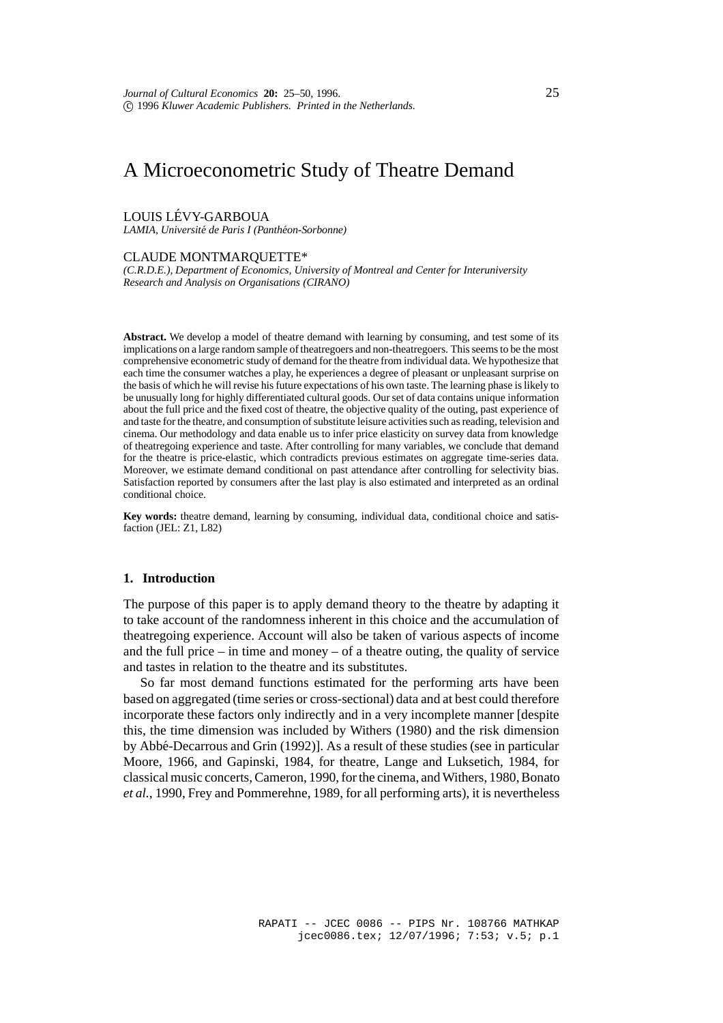# A Microeconometric Study of Theatre Demand

## LOUIS LEVY-GARBOUA ´

*LAMIA, Université de Paris I (Panthéon-Sorbonne)* 

#### CLAUDE MONTMARQUETTE\*

*(C.R.D.E.), Department of Economics, University of Montreal and Center for Interuniversity Research and Analysis on Organisations (CIRANO)*

**Abstract.** We develop a model of theatre demand with learning by consuming, and test some of its implications on a large random sample of theatregoers and non-theatregoers. This seems to be the most comprehensive econometric study of demand for the theatre from individual data. We hypothesize that each time the consumer watches a play, he experiences a degree of pleasant or unpleasant surprise on the basis of which he will revise his future expectations of his own taste. The learning phase is likely to be unusually long for highly differentiated cultural goods. Our set of data contains unique information about the full price and the fixed cost of theatre, the objective quality of the outing, past experience of and taste for the theatre, and consumption of substitute leisure activities such as reading, television and cinema. Our methodology and data enable us to infer price elasticity on survey data from knowledge of theatregoing experience and taste. After controlling for many variables, we conclude that demand for the theatre is price-elastic, which contradicts previous estimates on aggregate time-series data. Moreover, we estimate demand conditional on past attendance after controlling for selectivity bias. Satisfaction reported by consumers after the last play is also estimated and interpreted as an ordinal conditional choice.

**Key words:** theatre demand, learning by consuming, individual data, conditional choice and satisfaction (JEL: Z1, L82)

# **1. Introduction**

The purpose of this paper is to apply demand theory to the theatre by adapting it to take account of the randomness inherent in this choice and the accumulation of theatregoing experience. Account will also be taken of various aspects of income and the full price – in time and money – of a theatre outing, the quality of service and tastes in relation to the theatre and its substitutes.

So far most demand functions estimated for the performing arts have been based on aggregated (time series or cross-sectional) data and at best could therefore incorporate these factors only indirectly and in a very incomplete manner [despite this, the time dimension was included by Withers (1980) and the risk dimension by Abbe-Decarrous and Grin (1992)]. As a result of these studies (see in particular ´ Moore, 1966, and Gapinski, 1984, for theatre, Lange and Luksetich, 1984, for classical music concerts, Cameron, 1990, for the cinema, and Withers, 1980, Bonato *et al.*, 1990, Frey and Pommerehne, 1989, for all performing arts), it is nevertheless

> RAPATI -- JCEC 0086 -- PIPS Nr. 108766 MATHKAP jcec0086.tex; 12/07/1996; 7:53; v.5; p.1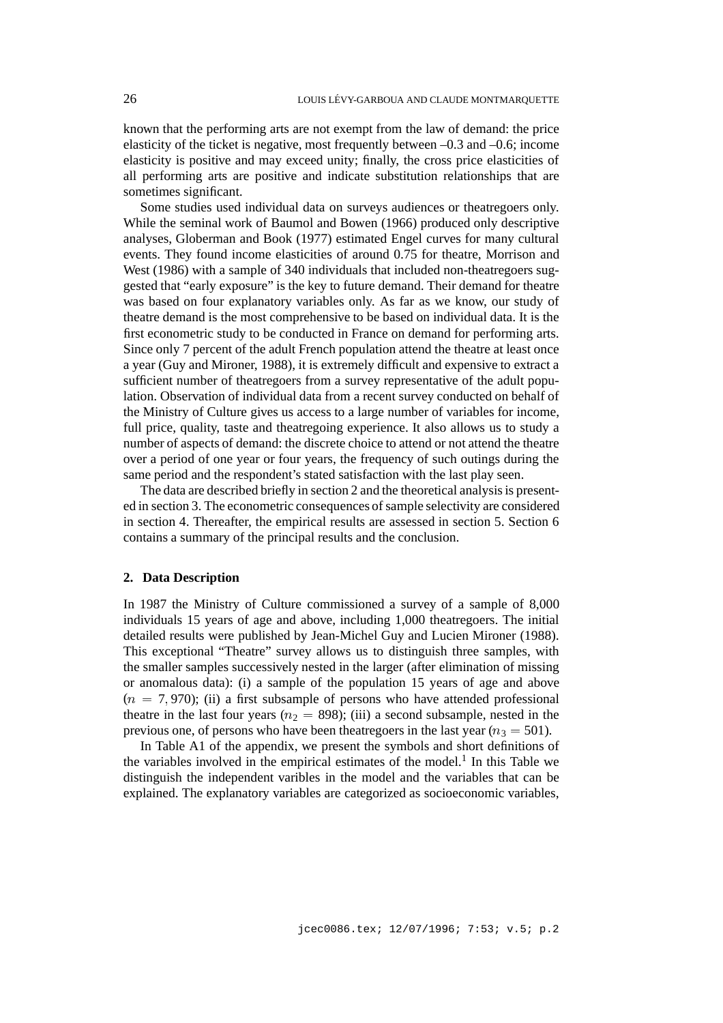known that the performing arts are not exempt from the law of demand: the price elasticity of the ticket is negative, most frequently between –0.3 and –0.6; income elasticity is positive and may exceed unity; finally, the cross price elasticities of all performing arts are positive and indicate substitution relationships that are sometimes significant.

Some studies used individual data on surveys audiences or theatregoers only. While the seminal work of Baumol and Bowen (1966) produced only descriptive analyses, Globerman and Book (1977) estimated Engel curves for many cultural events. They found income elasticities of around 0.75 for theatre, Morrison and West (1986) with a sample of 340 individuals that included non-theatregoers suggested that "early exposure" is the key to future demand. Their demand for theatre was based on four explanatory variables only. As far as we know, our study of theatre demand is the most comprehensive to be based on individual data. It is the first econometric study to be conducted in France on demand for performing arts. Since only 7 percent of the adult French population attend the theatre at least once a year (Guy and Mironer, 1988), it is extremely difficult and expensive to extract a sufficient number of theatregoers from a survey representative of the adult population. Observation of individual data from a recent survey conducted on behalf of the Ministry of Culture gives us access to a large number of variables for income, full price, quality, taste and theatregoing experience. It also allows us to study a number of aspects of demand: the discrete choice to attend or not attend the theatre over a period of one year or four years, the frequency of such outings during the same period and the respondent's stated satisfaction with the last play seen.

The data are described briefly in section 2 and the theoretical analysis is presented in section 3. The econometric consequences of sample selectivity are considered in section 4. Thereafter, the empirical results are assessed in section 5. Section 6 contains a summary of the principal results and the conclusion.

# **2. Data Description**

In 1987 the Ministry of Culture commissioned a survey of a sample of 8,000 individuals 15 years of age and above, including 1,000 theatregoers. The initial detailed results were published by Jean-Michel Guy and Lucien Mironer (1988). This exceptional "Theatre" survey allows us to distinguish three samples, with the smaller samples successively nested in the larger (after elimination of missing or anomalous data): (i) a sample of the population 15 years of age and above  $(n = 7,970)$ ; (ii) a first subsample of persons who have attended professional theatre in the last four years ( $n<sub>2</sub> = 898$ ); (iii) a second subsample, nested in the previous one, of persons who have been theatregoers in the last year ( $n_3 = 501$ ).

In Table A1 of the appendix, we present the symbols and short definitions of the variables involved in the empirical estimates of the model.<sup>1</sup> In this Table we distinguish the independent varibles in the model and the variables that can be explained. The explanatory variables are categorized as socioeconomic variables,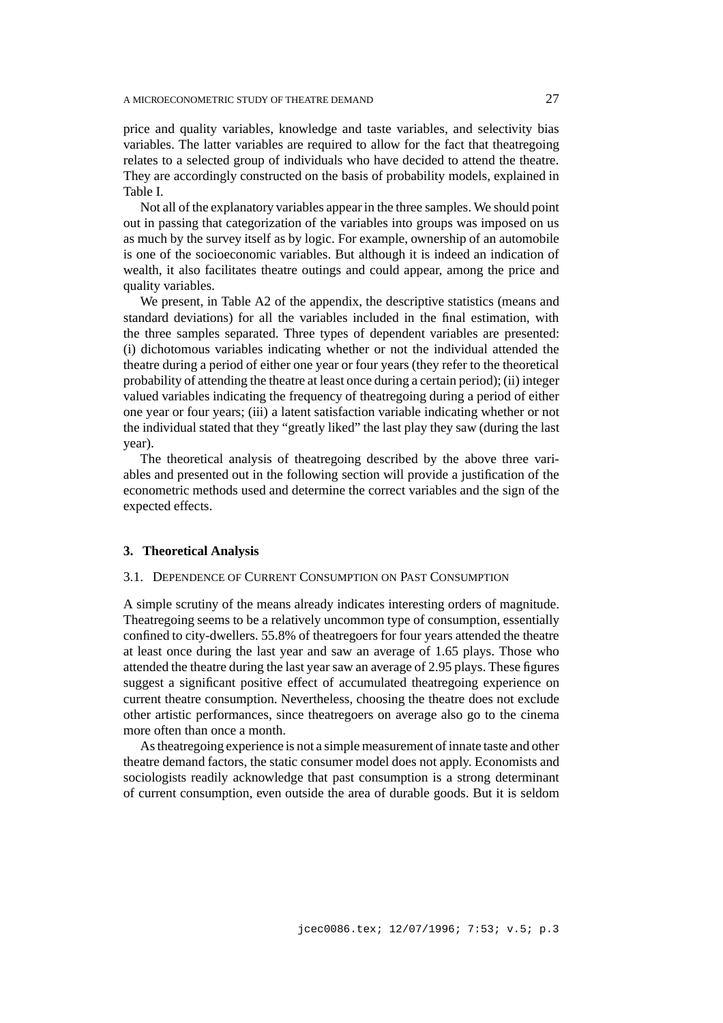## A MICROECONOMETRIC STUDY OF THEATRE DEMAND 27

price and quality variables, knowledge and taste variables, and selectivity bias variables. The latter variables are required to allow for the fact that theatregoing relates to a selected group of individuals who have decided to attend the theatre. They are accordingly constructed on the basis of probability models, explained in Table I.

Not all of the explanatory variables appear in the three samples. We should point out in passing that categorization of the variables into groups was imposed on us as much by the survey itself as by logic. For example, ownership of an automobile is one of the socioeconomic variables. But although it is indeed an indication of wealth, it also facilitates theatre outings and could appear, among the price and quality variables.

We present, in Table A2 of the appendix, the descriptive statistics (means and standard deviations) for all the variables included in the final estimation, with the three samples separated. Three types of dependent variables are presented: (i) dichotomous variables indicating whether or not the individual attended the theatre during a period of either one year or four years (they refer to the theoretical probability of attending the theatre at least once during a certain period); (ii) integer valued variables indicating the frequency of theatregoing during a period of either one year or four years; (iii) a latent satisfaction variable indicating whether or not the individual stated that they "greatly liked" the last play they saw (during the last year).

The theoretical analysis of theatregoing described by the above three variables and presented out in the following section will provide a justification of the econometric methods used and determine the correct variables and the sign of the expected effects.

## **3. Theoretical Analysis**

# 3.1. DEPENDENCE OF CURRENT CONSUMPTION ON PAST CONSUMPTION

A simple scrutiny of the means already indicates interesting orders of magnitude. Theatregoing seems to be a relatively uncommon type of consumption, essentially confined to city-dwellers. 55.8% of theatregoers for four years attended the theatre at least once during the last year and saw an average of 1.65 plays. Those who attended the theatre during the last year saw an average of 2.95 plays. These figures suggest a significant positive effect of accumulated theatregoing experience on current theatre consumption. Nevertheless, choosing the theatre does not exclude other artistic performances, since theatregoers on average also go to the cinema more often than once a month.

As theatregoing experience is not a simple measurement of innate taste and other theatre demand factors, the static consumer model does not apply. Economists and sociologists readily acknowledge that past consumption is a strong determinant of current consumption, even outside the area of durable goods. But it is seldom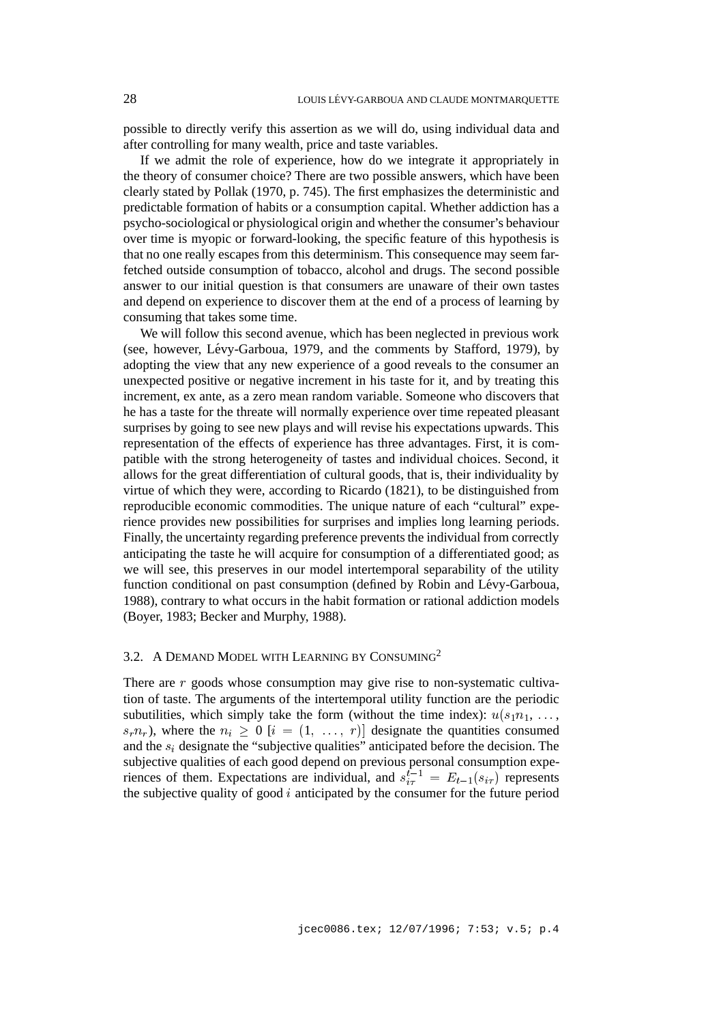possible to directly verify this assertion as we will do, using individual data and after controlling for many wealth, price and taste variables.

If we admit the role of experience, how do we integrate it appropriately in the theory of consumer choice? There are two possible answers, which have been clearly stated by Pollak (1970, p. 745). The first emphasizes the deterministic and predictable formation of habits or a consumption capital. Whether addiction has a psycho-sociological or physiological origin and whether the consumer's behaviour over time is myopic or forward-looking, the specific feature of this hypothesis is that no one really escapes from this determinism. This consequence may seem farfetched outside consumption of tobacco, alcohol and drugs. The second possible answer to our initial question is that consumers are unaware of their own tastes and depend on experience to discover them at the end of a process of learning by consuming that takes some time.

We will follow this second avenue, which has been neglected in previous work (see, however, Lévy-Garboua, 1979, and the comments by Stafford, 1979), by adopting the view that any new experience of a good reveals to the consumer an unexpected positive or negative increment in his taste for it, and by treating this increment, ex ante, as a zero mean random variable. Someone who discovers that he has a taste for the threate will normally experience over time repeated pleasant surprises by going to see new plays and will revise his expectations upwards. This representation of the effects of experience has three advantages. First, it is compatible with the strong heterogeneity of tastes and individual choices. Second, it allows for the great differentiation of cultural goods, that is, their individuality by virtue of which they were, according to Ricardo (1821), to be distinguished from reproducible economic commodities. The unique nature of each "cultural" experience provides new possibilities for surprises and implies long learning periods. Finally, the uncertainty regarding preference prevents the individual from correctly anticipating the taste he will acquire for consumption of a differentiated good; as we will see, this preserves in our model intertemporal separability of the utility function conditional on past consumption (defined by Robin and Lévy-Garboua, 1988), contrary to what occurs in the habit formation or rational addiction models (Boyer, 1983; Becker and Murphy, 1988).

# 3.2. A DEMAND MODEL WITH LEARNING BY CONSUMING<sup>2</sup>

There are  $r$  goods whose consumption may give rise to non-systematic cultivation of taste. The arguments of the intertemporal utility function are the periodic subutilities, which simply take the form (without the time index):  $u(s_1n_1, \ldots,$  $s_r n_r$ ), where the  $n_i \geq 0$  [i = (1, ..., r)] designate the quantities consumed and the  $s_i$  designate the "subjective qualities" anticipated before the decision. The subjective qualities of each good depend on previous personal consumption experiences of them. Expectations are individual, and  $s_{i\tau}^{t-1} = E_{t-1}(s_{i\tau})$  represents the subjective quality of good  $i$  anticipated by the consumer for the future period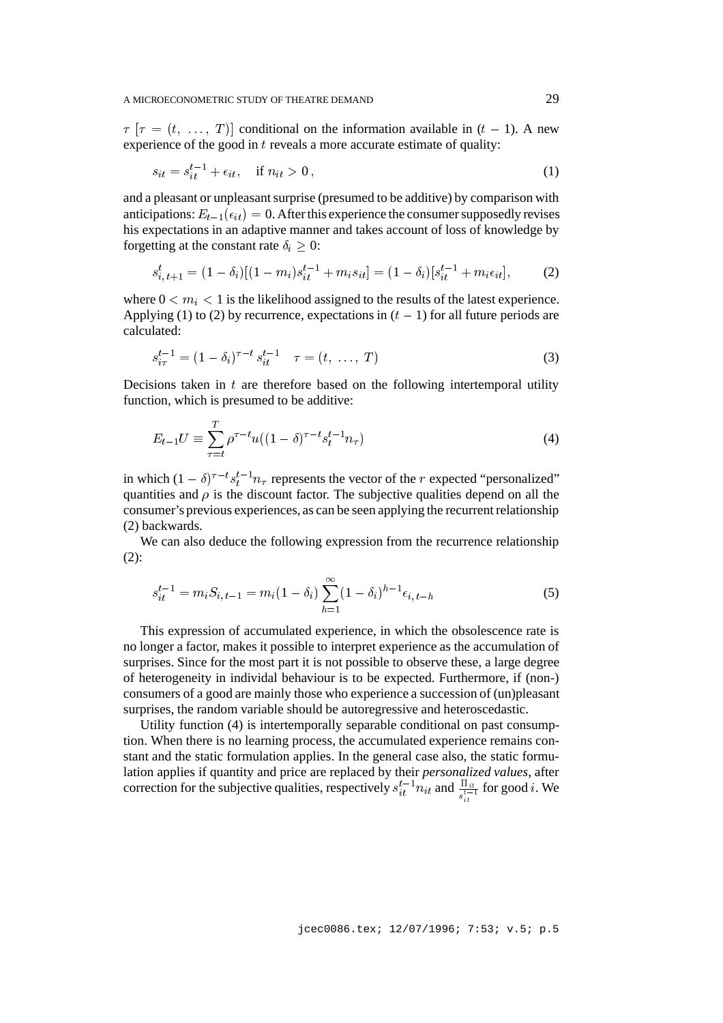$\tau$   $[\tau = (t, ..., T)]$  conditional on the information available in  $(t - 1)$ . A new experience of the good in t reveals a more accurate estimate of quality:

$$
s_{it} = s_{it}^{t-1} + \epsilon_{it}, \quad \text{if } n_{it} > 0,
$$
\n<sup>(1)</sup>

and a pleasant or unpleasant surprise (presumed to be additive) by comparison with anticipations:  $E_{t-1}(\epsilon_{it})= 0$ . After this experience the consumer supposedly revises his expectations in an adaptive manner and takes account of loss of knowledge by forgetting at the constant rate  $\delta_i \geq 0$ :

$$
s_{i,t+1}^t = (1 - \delta_i)[(1 - m_i)s_{it}^{t-1} + m_i s_{it}] = (1 - \delta_i)[s_{it}^{t-1} + m_i \epsilon_{it}],
$$
 (2)

where  $0 < m<sub>i</sub> < 1$  is the likelihood assigned to the results of the latest experience. Applying (1) to (2) by recurrence, expectations in  $(t - 1)$  for all future periods are calculated:

$$
s_{i\tau}^{t-1} = (1 - \delta_i)^{\tau - t} s_{it}^{t-1} \quad \tau = (t, \ \dots, \ T)
$$
 (3)

Decisions taken in  $t$  are therefore based on the following intertemporal utility function, which is presumed to be additive:

$$
E_{t-1}U \equiv \sum_{\tau=t}^{T} \rho^{\tau-t} u((1-\delta)^{\tau-t} s_t^{t-1} n_\tau)
$$
\n(4)

in which  $(1 - \delta)^{\tau-t} s_t^{t-1} n_\tau$  represents the vector of the r expected "personalized" quantities and  $\rho$  is the discount factor. The subjective qualities depend on all the consumer's previous experiences, as can be seen applying the recurrent relationship (2) backwards.

We can also deduce the following expression from the recurrence relationship (2):

$$
s_{it}^{t-1} = m_i S_{i, t-1} = m_i (1 - \delta_i) \sum_{h=1}^{\infty} (1 - \delta_i)^{h-1} \epsilon_{i, t-h}
$$
 (5)

This expression of accumulated experience, in which the obsolescence rate is no longer a factor, makes it possible to interpret experience as the accumulation of surprises. Since for the most part it is not possible to observe these, a large degree of heterogeneity in individal behaviour is to be expected. Furthermore, if (non-) consumers of a good are mainly those who experience a succession of (un)pleasant surprises, the random variable should be autoregressive and heteroscedastic.

Utility function (4) is intertemporally separable conditional on past consumption. When there is no learning process, the accumulated experience remains constant and the static formulation applies. In the general case also, the static formulation applies if quantity and price are replaced by their *personalized values*, after correction for the subjective qualities, respectively  $s_{it}^{t-1}n_{it}$  and  $\frac{\Pi_{it}}{s_{it}^{t-1}}$  for good *i*. We

jcec0086.tex; 12/07/1996; 7:53; v.5; p.5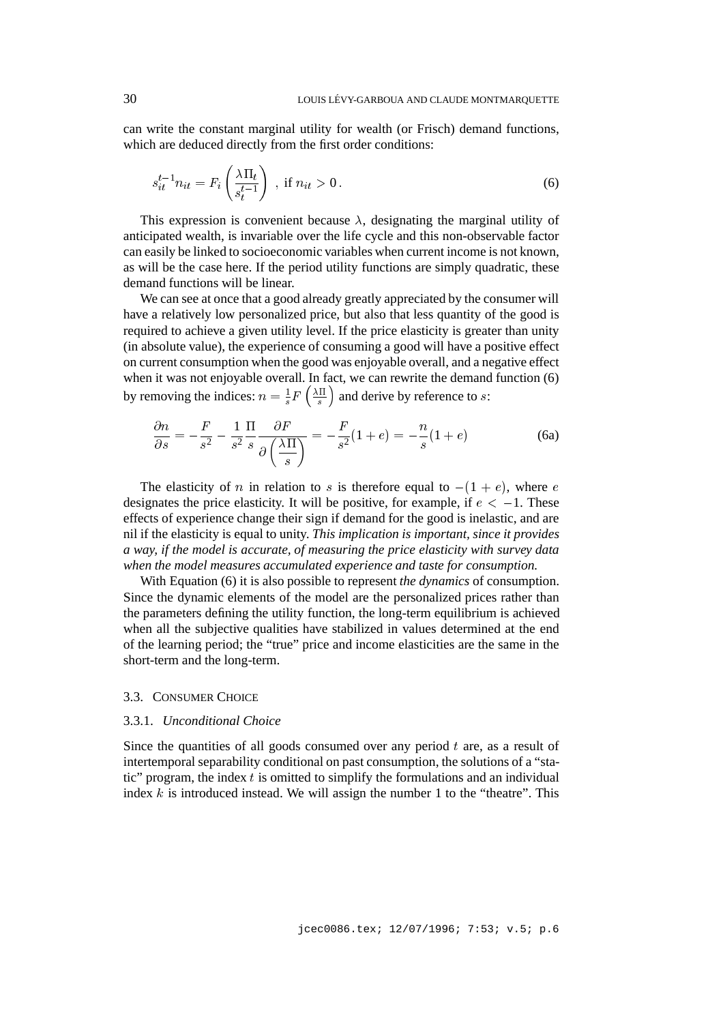can write the constant marginal utility for wealth (or Frisch) demand functions, which are deduced directly from the first order conditions:

$$
s_{it}^{t-1}n_{it} = F_i\left(\frac{\lambda \Pi_t}{s_t^{t-1}}\right) \text{ , if } n_{it} > 0 \,. \tag{6}
$$

This expression is convenient because  $\lambda$ , designating the marginal utility of anticipated wealth, is invariable over the life cycle and this non-observable factor can easily be linked to socioeconomic variables when current income is not known, as will be the case here. If the period utility functions are simply quadratic, these demand functions will be linear.

We can see at once that a good already greatly appreciated by the consumer will have a relatively low personalized price, but also that less quantity of the good is required to achieve a given utility level. If the price elasticity is greater than unity (in absolute value), the experience of consuming a good will have a positive effect on current consumption when the good was enjoyable overall, and a negative effect when it was not enjoyable overall. In fact, we can rewrite the demand function  $(6)$ by removing the indices:  $n = \frac{1}{s} F\left(\frac{\lambda \Pi}{s}\right)$  and  $\left(\frac{\lambda \Pi}{s}\right)$  and derive by reference to s:

$$
\frac{\partial n}{\partial s} = -\frac{F}{s^2} - \frac{1}{s^2} \frac{\Pi}{s} \frac{\partial F}{\partial \left(\frac{\lambda \Pi}{s}\right)} = -\frac{F}{s^2} (1 + e) = -\frac{n}{s} (1 + e)
$$
(6a)

The elasticity of n in relation to s is therefore equal to  $-(1 + e)$ , where e designates the price elasticity. It will be positive, for example, if  $e < -1$ . These effects of experience change their sign if demand for the good is inelastic, and are nil if the elasticity is equal to unity. *This implication is important, since it provides a way, if the model is accurate, of measuring the price elasticity with survey data when the model measures accumulated experience and taste for consumption.*

With Equation (6) it is also possible to represent *the dynamics* of consumption. Since the dynamic elements of the model are the personalized prices rather than the parameters defining the utility function, the long-term equilibrium is achieved when all the subjective qualities have stabilized in values determined at the end of the learning period; the "true" price and income elasticities are the same in the short-term and the long-term.

## 3.3. CONSUMER CHOICE

#### 3.3.1. *Unconditional Choice*

Since the quantities of all goods consumed over any period  $t$  are, as a result of intertemporal separability conditional on past consumption, the solutions of a "static" program, the index  $t$  is omitted to simplify the formulations and an individual index  $k$  is introduced instead. We will assign the number 1 to the "theatre". This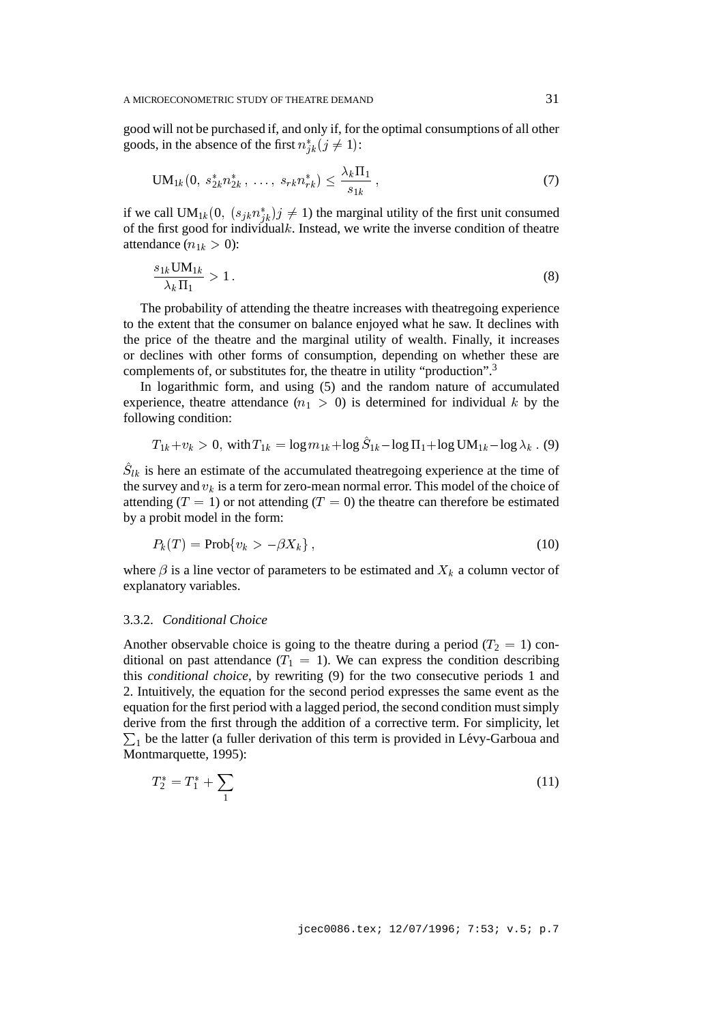good will not be purchased if, and only if, for the optimal consumptions of all other goods, in the absence of the first  $n_{ik}^*(j \neq 1)$ :

$$
UM_{1k}(0, s_{2k}^* n_{2k}^*, \ldots, s_{rk} n_{rk}^*) \leq \frac{\lambda_k \Pi_1}{s_{1k}}, \qquad (7)
$$

if we call  $UM_{1k}(0, (s_{jk}n_{jk}^*)j \neq 1)$  the marginal utility of the first unit consumed of the first good for individualk. Instead, we write the inverse condition of theatre attendance  $(n_{1k} > 0)$ :

$$
\frac{s_{1k} \text{UM}_{1k}}{\lambda_k \Pi_1} > 1. \tag{8}
$$

The probability of attending the theatre increases with theatregoing experience to the extent that the consumer on balance enjoyed what he saw. It declines with the price of the theatre and the marginal utility of wealth. Finally, it increases or declines with other forms of consumption, depending on whether these are complements of, or substitutes for, the theatre in utility "production".3

In logarithmic form, and using (5) and the random nature of accumulated experience, theatre attendance  $(n_1 > 0)$  is determined for individual k by the following condition:

$$
T_{1k} + v_k > 0, \text{ with } T_{1k} = \log m_{1k} + \log S_{1k} - \log \Pi_1 + \log \text{UM}_{1k} - \log \lambda_k \tag{9}
$$

 $S_{lk}$  is here an estimate of the accumulated theatregoing experience at the time of the survey and  $v_k$  is a term for zero-mean normal error. This model of the choice of attending  $(T = 1)$  or not attending  $(T = 0)$  the theatre can therefore be estimated by a probit model in the form:

$$
P_k(T) = \text{Prob}\{v_k > -\beta X_k\},\tag{10}
$$

where  $\beta$  is a line vector of parameters to be estimated and  $X_k$  a column vector of explanatory variables.

#### 3.3.2. *Conditional Choice*

Another observable choice is going to the theatre during a period ( $T_2 = 1$ ) conditional on past attendance  $(T_1 = 1)$ . We can express the condition describing this *conditional choice*, by rewriting (9) for the two consecutive periods 1 and 2. Intuitively, the equation for the second period expresses the same event as the equation for the first period with a lagged period, the second condition must simply derive from the first through the addition of a corrective term. For simplicity, let  $\Sigma_1$  be the latter (a fuller derivation of this term is provided in Lévy-Garboua and Montmarquette, 1995):

$$
T_2^* = T_1^* + \sum_1 \tag{11}
$$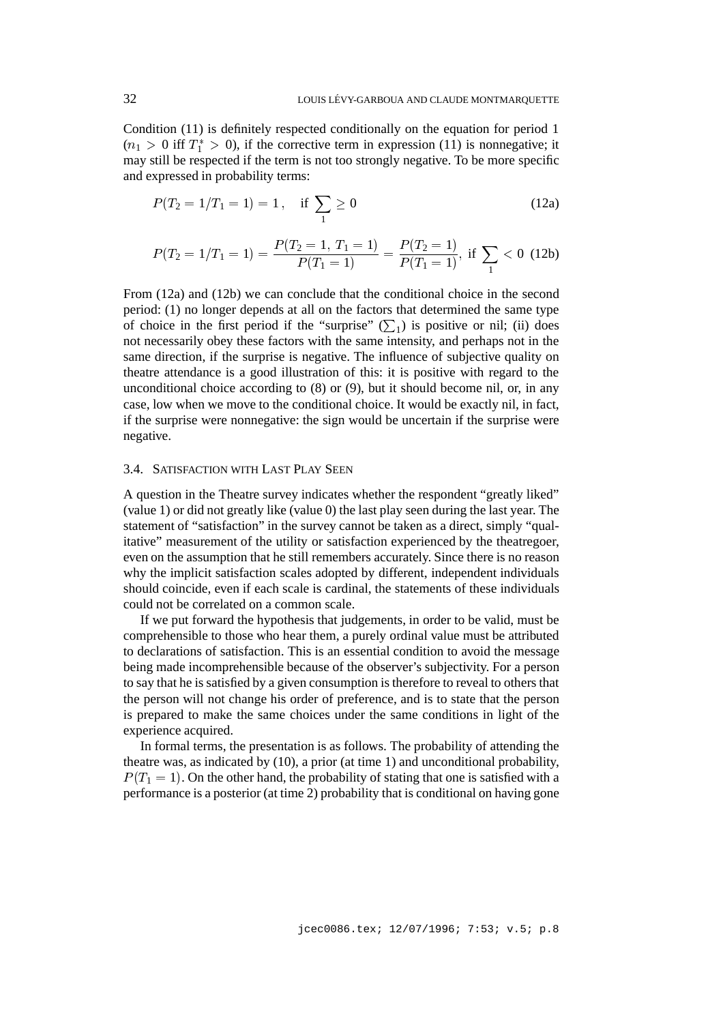Condition (11) is definitely respected conditionally on the equation for period 1  $(n_1 > 0$  iff  $T_1^* > 0$ ), if the corrective term in expression (11) is nonnegative; it may still be respected if the term is not too strongly negative. To be more specific and expressed in probability terms:

$$
P(T_2 = 1/T_1 = 1) = 1, \quad \text{if } \sum_1 \ge 0 \tag{12a}
$$

$$
P(T_2 = 1/T_1 = 1) = \frac{P(T_2 = 1, T_1 = 1)}{P(T_1 = 1)} = \frac{P(T_2 = 1)}{P(T_1 = 1)}, \text{ if } \sum_{1} < 0 \text{ (12b)}
$$

From (12a) and (12b) we can conclude that the conditional choice in the second period: (1) no longer depends at all on the factors that determined the same type of choice in the first period if the "surprise"  $(\sum_1)$  is positive or nil; (ii) does not necessarily obey these factors with the same intensity, and perhaps not in the same direction, if the surprise is negative. The influence of subjective quality on theatre attendance is a good illustration of this: it is positive with regard to the unconditional choice according to (8) or (9), but it should become nil, or, in any case, low when we move to the conditional choice. It would be exactly nil, in fact, if the surprise were nonnegative: the sign would be uncertain if the surprise were negative.

#### 3.4. SATISFACTION WITH LAST PLAY SEEN

A question in the Theatre survey indicates whether the respondent "greatly liked" (value 1) or did not greatly like (value 0) the last play seen during the last year. The statement of "satisfaction" in the survey cannot be taken as a direct, simply "qualitative" measurement of the utility or satisfaction experienced by the theatregoer, even on the assumption that he still remembers accurately. Since there is no reason why the implicit satisfaction scales adopted by different, independent individuals should coincide, even if each scale is cardinal, the statements of these individuals could not be correlated on a common scale.

If we put forward the hypothesis that judgements, in order to be valid, must be comprehensible to those who hear them, a purely ordinal value must be attributed to declarations of satisfaction. This is an essential condition to avoid the message being made incomprehensible because of the observer's subjectivity. For a person to say that he is satisfied by a given consumption is therefore to reveal to others that the person will not change his order of preference, and is to state that the person is prepared to make the same choices under the same conditions in light of the experience acquired.

In formal terms, the presentation is as follows. The probability of attending the theatre was, as indicated by (10), a prior (at time 1) and unconditional probability,  $P(T_1 = 1)$ . On the other hand, the probability of stating that one is satisfied with a performance is a posterior (at time 2) probability that is conditional on having gone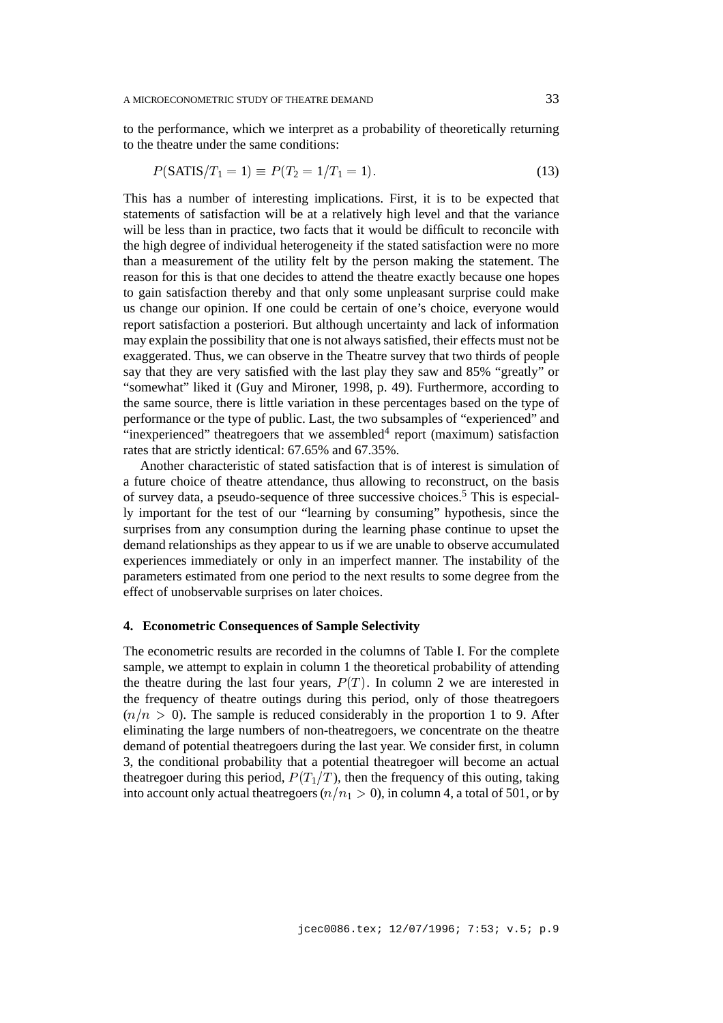to the performance, which we interpret as a probability of theoretically returning to the theatre under the same conditions:

$$
P(SATIS/T_1 = 1) \equiv P(T_2 = 1/T_1 = 1).
$$
\n(13)

This has a number of interesting implications. First, it is to be expected that statements of satisfaction will be at a relatively high level and that the variance will be less than in practice, two facts that it would be difficult to reconcile with the high degree of individual heterogeneity if the stated satisfaction were no more than a measurement of the utility felt by the person making the statement. The reason for this is that one decides to attend the theatre exactly because one hopes to gain satisfaction thereby and that only some unpleasant surprise could make us change our opinion. If one could be certain of one's choice, everyone would report satisfaction a posteriori. But although uncertainty and lack of information may explain the possibility that one is not always satisfied, their effects must not be exaggerated. Thus, we can observe in the Theatre survey that two thirds of people say that they are very satisfied with the last play they saw and 85% "greatly" or "somewhat" liked it (Guy and Mironer, 1998, p. 49). Furthermore, according to the same source, there is little variation in these percentages based on the type of performance or the type of public. Last, the two subsamples of "experienced" and "inexperienced" theatregoers that we assembled $4$  report (maximum) satisfaction rates that are strictly identical: 67.65% and 67.35%.

Another characteristic of stated satisfaction that is of interest is simulation of a future choice of theatre attendance, thus allowing to reconstruct, on the basis of survey data, a pseudo-sequence of three successive choices.<sup>5</sup> This is especially important for the test of our "learning by consuming" hypothesis, since the surprises from any consumption during the learning phase continue to upset the demand relationships as they appear to us if we are unable to observe accumulated experiences immediately or only in an imperfect manner. The instability of the parameters estimated from one period to the next results to some degree from the effect of unobservable surprises on later choices.

#### **4. Econometric Consequences of Sample Selectivity**

The econometric results are recorded in the columns of Table I. For the complete sample, we attempt to explain in column 1 the theoretical probability of attending the theatre during the last four years,  $P(T)$ . In column 2 we are interested in the frequency of theatre outings during this period, only of those theatregoers  $(n/n > 0)$ . The sample is reduced considerably in the proportion 1 to 9. After eliminating the large numbers of non-theatregoers, we concentrate on the theatre demand of potential theatregoers during the last year. We consider first, in column 3, the conditional probability that a potential theatregoer will become an actual theatregoer during this period,  $P(T_1/T)$ , then the frequency of this outing, taking into account only actual theatregoers  $(n/n_1 > 0)$ , in column 4, a total of 501, or by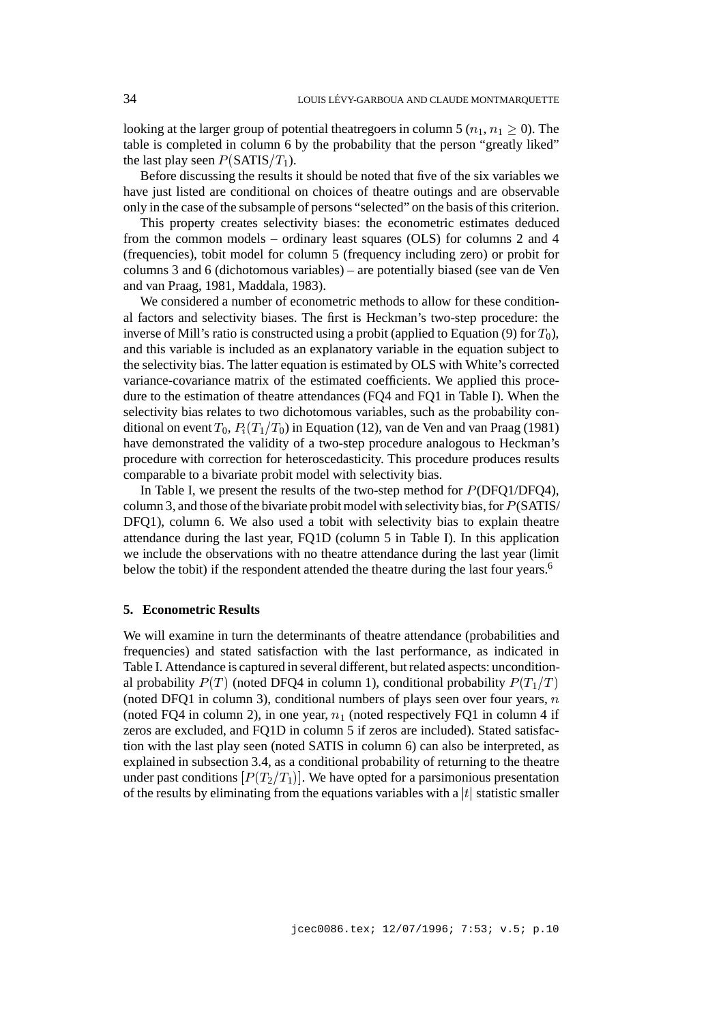looking at the larger group of potential theatregoers in column 5 ( $n_1$ ,  $n_1 > 0$ ). The table is completed in column 6 by the probability that the person "greatly liked" the last play seen  $P(SATIS/T_1)$ .

Before discussing the results it should be noted that five of the six variables we have just listed are conditional on choices of theatre outings and are observable only in the case of the subsample of persons "selected" on the basis of this criterion.

This property creates selectivity biases: the econometric estimates deduced from the common models – ordinary least squares (OLS) for columns 2 and 4 (frequencies), tobit model for column 5 (frequency including zero) or probit for columns 3 and 6 (dichotomous variables) – are potentially biased (see van de Ven and van Praag, 1981, Maddala, 1983).

We considered a number of econometric methods to allow for these conditional factors and selectivity biases. The first is Heckman's two-step procedure: the inverse of Mill's ratio is constructed using a probit (applied to Equation (9) for  $T_0$ ), and this variable is included as an explanatory variable in the equation subject to the selectivity bias. The latter equation is estimated by OLS with White's corrected variance-covariance matrix of the estimated coefficients. We applied this procedure to the estimation of theatre attendances (FQ4 and FQ1 in Table I). When the selectivity bias relates to two dichotomous variables, such as the probability conditional on event  $T_0$ ,  $P_i(T_1/T_0)$  in Equation (12), van de Ven and van Praag (1981) have demonstrated the validity of a two-step procedure analogous to Heckman's procedure with correction for heteroscedasticity. This procedure produces results comparable to a bivariate probit model with selectivity bias.

In Table I, we present the results of the two-step method for  $P(DFO1/DFO4)$ , column 3, and those of the bivariate probit model with selectivity bias, for  $P(SATIS/$ DFQ1), column 6. We also used a tobit with selectivity bias to explain theatre attendance during the last year, FQ1D (column 5 in Table I). In this application we include the observations with no theatre attendance during the last year (limit below the tobit) if the respondent attended the theatre during the last four years.<sup>6</sup>

# **5. Econometric Results**

We will examine in turn the determinants of theatre attendance (probabilities and frequencies) and stated satisfaction with the last performance, as indicated in Table I. Attendance is captured in several different, but related aspects: unconditional probability  $P(T)$  (noted DFQ4 in column 1), conditional probability  $P(T_1/T)$ (noted DFO1 in column 3), conditional numbers of plays seen over four years,  $n$ (noted FQ4 in column 2), in one year,  $n_1$  (noted respectively FQ1 in column 4 if zeros are excluded, and FQ1D in column 5 if zeros are included). Stated satisfaction with the last play seen (noted SATIS in column 6) can also be interpreted, as explained in subsection 3.4, as a conditional probability of returning to the theatre under past conditions  $[P(T_2/T_1)]$ . We have opted for a parsimonious presentation of the results by eliminating from the equations variables with a  $|t|$  statistic smaller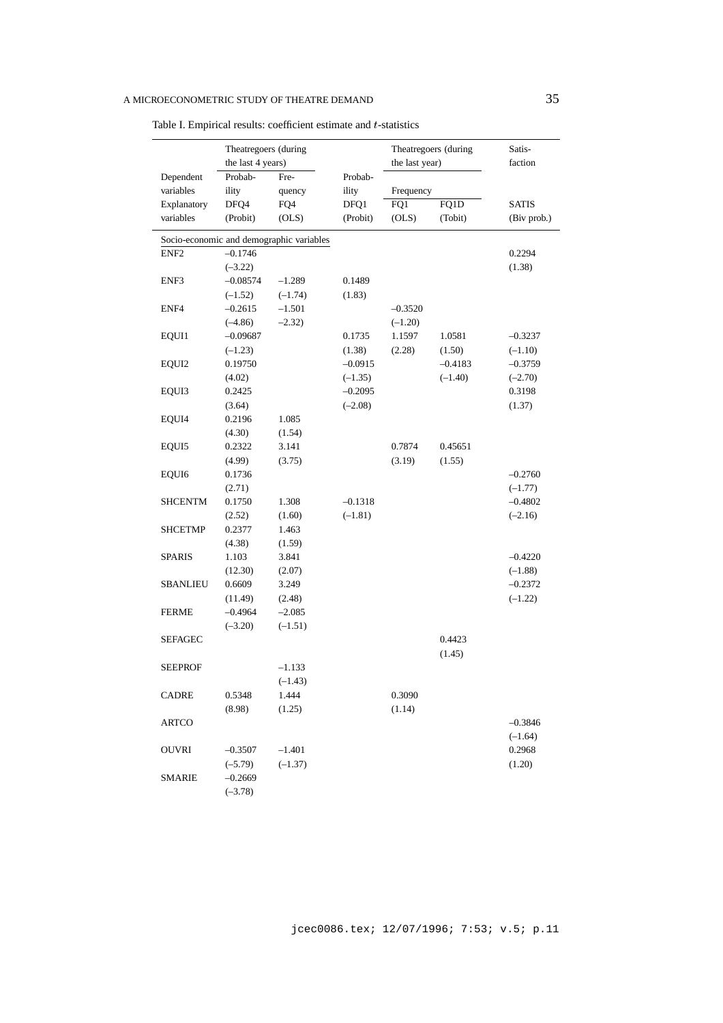# A MICROECONOMETRIC STUDY OF THEATRE DEMAND 35

|                  | Theatregoers (during<br>the last 4 years) |                                          |           | the last year) | Theatregoers (during | Satis-<br>faction |
|------------------|-------------------------------------------|------------------------------------------|-----------|----------------|----------------------|-------------------|
| Dependent        | Probab-                                   | Fre-                                     | Probab-   |                |                      |                   |
| variables        | ility                                     | quency                                   | ility     | Frequency      |                      |                   |
| Explanatory      | DFQ4                                      | FQ4                                      | DFO1      | FQ1            | FQ1D                 | <b>SATIS</b>      |
| variables        | (Probit)                                  | (OLS)                                    | (Probit)  | (OLS)          | (Tobit)              | (Biv prob.)       |
|                  |                                           | Socio-economic and demographic variables |           |                |                      |                   |
| ENF <sub>2</sub> | $-0.1746$                                 |                                          |           |                |                      | 0.2294            |
|                  | $(-3.22)$                                 |                                          |           |                |                      | (1.38)            |
| ENF3             | $-0.08574$                                | $-1.289$                                 | 0.1489    |                |                      |                   |
|                  | $(-1.52)$                                 | $(-1.74)$                                | (1.83)    |                |                      |                   |
| ENF4             | $-0.2615$                                 | $-1.501$                                 |           | $-0.3520$      |                      |                   |
|                  | $(-4.86)$                                 | $-2.32$ )                                |           | $(-1.20)$      |                      |                   |
| EQUI1            | $-0.09687$                                |                                          | 0.1735    | 1.1597         | 1.0581               | $-0.3237$         |
|                  | $(-1.23)$                                 |                                          | (1.38)    | (2.28)         | (1.50)               | $(-1.10)$         |
| EQUI2            | 0.19750                                   |                                          | $-0.0915$ |                | $-0.4183$            | $-0.3759$         |
|                  | (4.02)                                    |                                          | $(-1.35)$ |                | $(-1.40)$            | $(-2.70)$         |
| EQUI3            | 0.2425                                    |                                          | $-0.2095$ |                |                      | 0.3198            |
|                  | (3.64)                                    |                                          | $(-2.08)$ |                |                      | (1.37)            |
| EQUI4            | 0.2196                                    | 1.085                                    |           |                |                      |                   |
|                  | (4.30)                                    | (1.54)                                   |           |                |                      |                   |
| EQUI5            | 0.2322                                    | 3.141                                    |           | 0.7874         | 0.45651              |                   |
|                  | (4.99)                                    | (3.75)                                   |           | (3.19)         | (1.55)               |                   |
| EQUI6            | 0.1736                                    |                                          |           |                |                      | $-0.2760$         |
|                  | (2.71)                                    |                                          |           |                |                      | $(-1.77)$         |
| <b>SHCENTM</b>   | 0.1750                                    | 1.308                                    | $-0.1318$ |                |                      | $-0.4802$         |
|                  | (2.52)                                    | (1.60)                                   | $(-1.81)$ |                |                      | $(-2.16)$         |
| <b>SHCETMP</b>   | 0.2377                                    | 1.463                                    |           |                |                      |                   |
|                  | (4.38)                                    | (1.59)                                   |           |                |                      |                   |
| <b>SPARIS</b>    | 1.103                                     | 3.841                                    |           |                |                      | $-0.4220$         |
|                  | (12.30)                                   | (2.07)                                   |           |                |                      | $(-1.88)$         |
| <b>SBANLIEU</b>  | 0.6609                                    | 3.249                                    |           |                |                      | $-0.2372$         |
|                  | (11.49)                                   | (2.48)                                   |           |                |                      | $(-1.22)$         |
| <b>FERME</b>     | $-0.4964$                                 | $-2.085$                                 |           |                |                      |                   |
|                  | $(-3.20)$                                 | $(-1.51)$                                |           |                |                      |                   |
| <b>SEFAGEC</b>   |                                           |                                          |           |                | 0.4423               |                   |
|                  |                                           |                                          |           |                | (1.45)               |                   |
| <b>SEEPROF</b>   |                                           | $-1.133$                                 |           |                |                      |                   |
|                  |                                           | $(-1.43)$                                |           |                |                      |                   |
| <b>CADRE</b>     | 0.5348                                    | 1.444                                    |           | 0.3090         |                      |                   |
|                  | (8.98)                                    | (1.25)                                   |           | (1.14)         |                      |                   |
| <b>ARTCO</b>     |                                           |                                          |           |                |                      | $-0.3846$         |
|                  |                                           |                                          |           |                |                      | $(-1.64)$         |
| <b>OUVRI</b>     | $-0.3507$                                 | $-1.401$                                 |           |                |                      | 0.2968            |
|                  | $(-5.79)$                                 | $(-1.37)$                                |           |                |                      | (1.20)            |
| <b>SMARIE</b>    | $-0.2669$                                 |                                          |           |                |                      |                   |
|                  | $(-3.78)$                                 |                                          |           |                |                      |                   |

Table I. Empirical results: coefficient estimate and  $t$ -statistics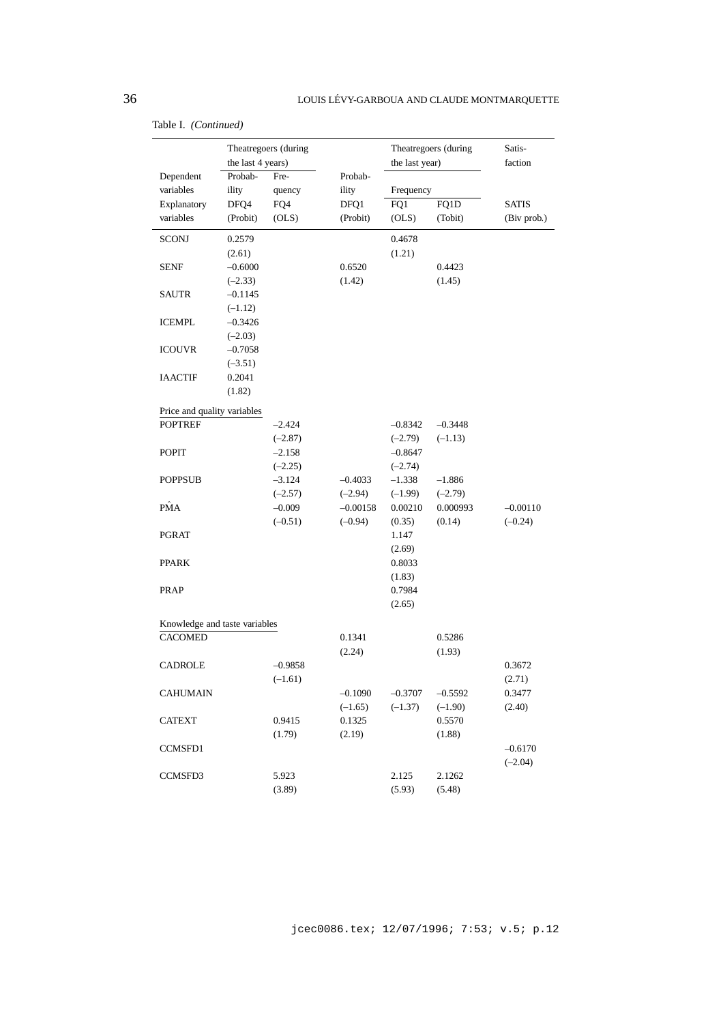# Table I. *(Continued)*

|                               | the last 4 years) | Theatregoers (during |                  | the last year) | Theatregoers (during | Satis-<br>faction |
|-------------------------------|-------------------|----------------------|------------------|----------------|----------------------|-------------------|
| Dependent<br>variables        | Probab-<br>ility  | Fre-<br>quency       | Probab-<br>ility | Frequency      |                      |                   |
| Explanatory                   | DFQ4              | FQ4                  | DFQ1             | FQ1            | FQ1D                 | <b>SATIS</b>      |
| variables                     | (Probit)          | (OLS)                | (Probit)         | (OLS)          | (Tobit)              | (Biv prob.)       |
| <b>SCONJ</b>                  | 0.2579            |                      |                  | 0.4678         |                      |                   |
|                               | (2.61)            |                      |                  | (1.21)         |                      |                   |
| <b>SENF</b>                   | $-0.6000$         |                      | 0.6520           |                | 0.4423               |                   |
|                               | $(-2.33)$         |                      | (1.42)           |                | (1.45)               |                   |
| <b>SAUTR</b>                  | $-0.1145$         |                      |                  |                |                      |                   |
|                               | $(-1.12)$         |                      |                  |                |                      |                   |
| <b>ICEMPL</b>                 | $-0.3426$         |                      |                  |                |                      |                   |
|                               | $(-2.03)$         |                      |                  |                |                      |                   |
| <b>ICOUVR</b>                 | $-0.7058$         |                      |                  |                |                      |                   |
|                               | $(-3.51)$         |                      |                  |                |                      |                   |
| <b>IAACTIF</b>                | 0.2041            |                      |                  |                |                      |                   |
|                               | (1.82)            |                      |                  |                |                      |                   |
| Price and quality variables   |                   |                      |                  |                |                      |                   |
| <b>POPTREF</b>                |                   | $-2.424$             |                  | $-0.8342$      | $-0.3448$            |                   |
|                               |                   | $(-2.87)$            |                  | $(-2.79)$      | $(-1.13)$            |                   |
| <b>POPIT</b>                  |                   | $-2.158$             |                  | $-0.8647$      |                      |                   |
|                               |                   | $(-2.25)$            |                  | $(-2.74)$      |                      |                   |
| <b>POPPSUB</b>                |                   | $-3.124$             | $-0.4033$        | $-1.338$       | $-1.886$             |                   |
|                               |                   | $(-2.57)$            | $(-2.94)$        | $(-1.99)$      | $(-2.79)$            |                   |
| PŴA                           |                   | $-0.009$             | $-0.00158$       | 0.00210        | 0.000993             | $-0.00110$        |
|                               |                   | $(-0.51)$            | $(-0.94)$        | (0.35)         | (0.14)               | $(-0.24)$         |
| <b>PGRAT</b>                  |                   |                      |                  | 1.147          |                      |                   |
|                               |                   |                      |                  | (2.69)         |                      |                   |
| <b>PPARK</b>                  |                   |                      |                  | 0.8033         |                      |                   |
|                               |                   |                      |                  | (1.83)         |                      |                   |
| PRAP                          |                   |                      |                  | 0.7984         |                      |                   |
|                               |                   |                      |                  | (2.65)         |                      |                   |
| Knowledge and taste variables |                   |                      |                  |                |                      |                   |
| <b>CACOMED</b>                |                   |                      | 0.1341           |                | 0.5286               |                   |
|                               |                   |                      | (2.24)           |                | (1.93)               |                   |
| CADROLE                       |                   | $-0.9858$            |                  |                |                      | 0.3672            |
|                               |                   | $(-1.61)$            |                  |                |                      | (2.71)            |
| <b>CAHUMAIN</b>               |                   |                      | $-0.1090$        | $-0.3707$      | $-0.5592$            | 0.3477            |
|                               |                   |                      | $(-1.65)$        | $(-1.37)$      | $(-1.90)$            | (2.40)            |
| <b>CATEXT</b>                 |                   | 0.9415               | 0.1325           |                | 0.5570               |                   |
|                               |                   | (1.79)               | (2.19)           |                | (1.88)               |                   |
| <b>CCMSFD1</b>                |                   |                      |                  |                |                      | $-0.6170$         |
|                               |                   |                      |                  |                |                      | $(-2.04)$         |
| CCMSFD3                       |                   | 5.923                |                  | 2.125          | 2.1262               |                   |
|                               |                   | (3.89)               |                  | (5.93)         | (5.48)               |                   |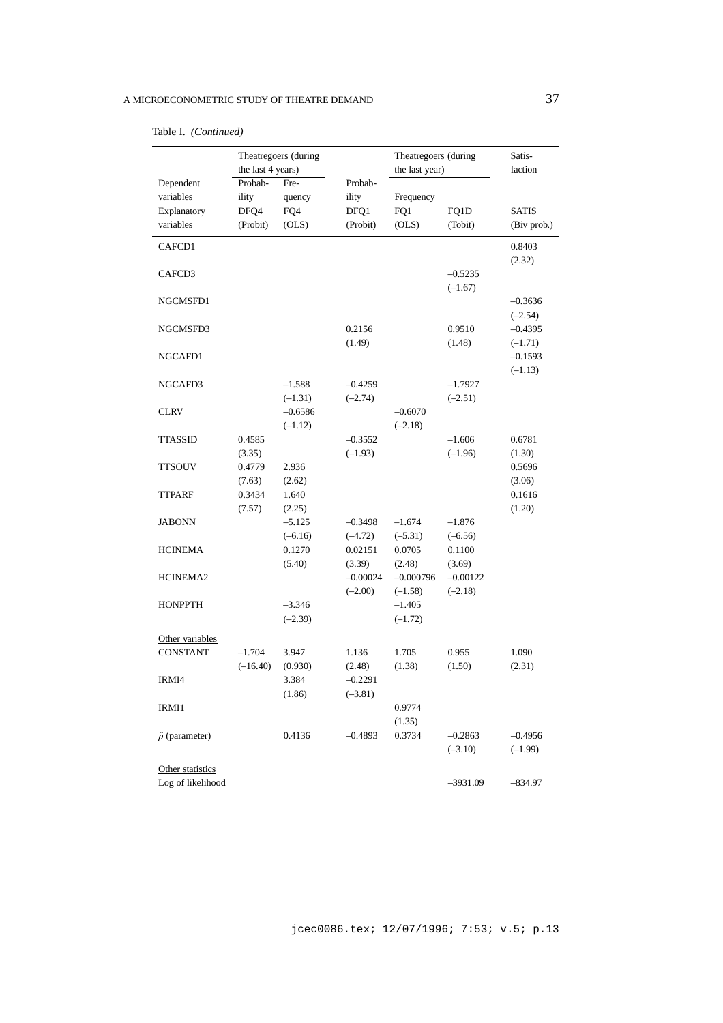| Table I. (Continued) |  |
|----------------------|--|
|                      |  |

|                          | the last 4 years) | Theatregoers (during |                      | Theatregoers (during<br>the last year) |                     | Satis-<br>faction |  |
|--------------------------|-------------------|----------------------|----------------------|----------------------------------------|---------------------|-------------------|--|
| Dependent                | Probab-           | Fre-                 | Probab-              |                                        |                     |                   |  |
| variables                | ility             | quency               | ility                | Frequency                              |                     |                   |  |
| Explanatory              | DFQ4              | FQ4                  | DFQ1                 | FQ1                                    | FQ1D                | <b>SATIS</b>      |  |
| variables                | (Probit)          | (OLS)                | (Probit)             | (OLS)                                  | (Tobit)             | (Biv prob.)       |  |
| CAFCD1                   |                   |                      |                      |                                        |                     | 0.8403            |  |
|                          |                   |                      |                      |                                        |                     | (2.32)            |  |
| CAFCD3                   |                   |                      |                      |                                        | $-0.5235$           |                   |  |
| NGCMSFD1                 |                   |                      |                      |                                        | $(-1.67)$           | $-0.3636$         |  |
|                          |                   |                      |                      |                                        |                     | $(-2.54)$         |  |
| NGCMSFD3                 |                   |                      | 0.2156               |                                        | 0.9510              | $-0.4395$         |  |
|                          |                   |                      | (1.49)               |                                        | (1.48)              | $(-1.71)$         |  |
| NGCAFD1                  |                   |                      |                      |                                        |                     | $-0.1593$         |  |
|                          |                   |                      |                      |                                        |                     | $(-1.13)$         |  |
| NGCAFD3                  |                   | $-1.588$             | $-0.4259$            |                                        | $-1.7927$           |                   |  |
|                          |                   | $(-1.31)$            | $(-2.74)$            |                                        | $(-2.51)$           |                   |  |
| <b>CLRV</b>              |                   | $-0.6586$            |                      | $-0.6070$                              |                     |                   |  |
|                          |                   | $(-1.12)$            |                      | $(-2.18)$                              |                     |                   |  |
| <b>TTASSID</b>           | 0.4585            |                      | $-0.3552$            |                                        | $-1.606$            | 0.6781            |  |
|                          | (3.35)            |                      | $(-1.93)$            |                                        | $(-1.96)$           | (1.30)            |  |
| <b>TTSOUV</b>            | 0.4779            | 2.936                |                      |                                        |                     | 0.5696            |  |
|                          | (7.63)            | (2.62)               |                      |                                        |                     | (3.06)            |  |
| <b>TTPARF</b>            | 0.3434            | 1.640                |                      |                                        |                     | 0.1616            |  |
|                          | (7.57)            | (2.25)               |                      |                                        |                     | (1.20)            |  |
| <b>JABONN</b>            |                   | $-5.125$             | $-0.3498$            | $-1.674$                               | $-1.876$            |                   |  |
|                          |                   | $(-6.16)$<br>0.1270  | $(-4.72)$<br>0.02151 | $(-5.31)$<br>0.0705                    | $(-6.56)$<br>0.1100 |                   |  |
| <b>HCINEMA</b>           |                   | (5.40)               | (3.39)               | (2.48)                                 | (3.69)              |                   |  |
| HCINEMA2                 |                   |                      | $-0.00024$           | $-0.000796$                            | $-0.00122$          |                   |  |
|                          |                   |                      | $(-2.00)$            | $(-1.58)$                              | $(-2.18)$           |                   |  |
| <b>HONPPTH</b>           |                   | $-3.346$             |                      | $-1.405$                               |                     |                   |  |
|                          |                   | $(-2.39)$            |                      | $(-1.72)$                              |                     |                   |  |
| Other variables          |                   |                      |                      |                                        |                     |                   |  |
| <b>CONSTANT</b>          | $-1.704$          | 3.947                | 1.136                | 1.705                                  | 0.955               | 1.090             |  |
|                          | $(-16.40)$        | (0.930)              | (2.48)               | (1.38)                                 | (1.50)              | (2.31)            |  |
| IRMI4                    |                   | 3.384                | $-0.2291$            |                                        |                     |                   |  |
|                          |                   | (1.86)               | $(-3.81)$            |                                        |                     |                   |  |
| IRMI1                    |                   |                      |                      | 0.9774                                 |                     |                   |  |
|                          |                   |                      |                      | (1.35)                                 |                     |                   |  |
| $\hat{\rho}$ (parameter) |                   | 0.4136               | $-0.4893$            | 0.3734                                 | $-0.2863$           | $-0.4956$         |  |
|                          |                   |                      |                      |                                        | $(-3.10)$           | $(-1.99)$         |  |
| Other statistics         |                   |                      |                      |                                        |                     |                   |  |
| Log of likelihood        |                   |                      |                      |                                        | $-3931.09$          | $-834.97$         |  |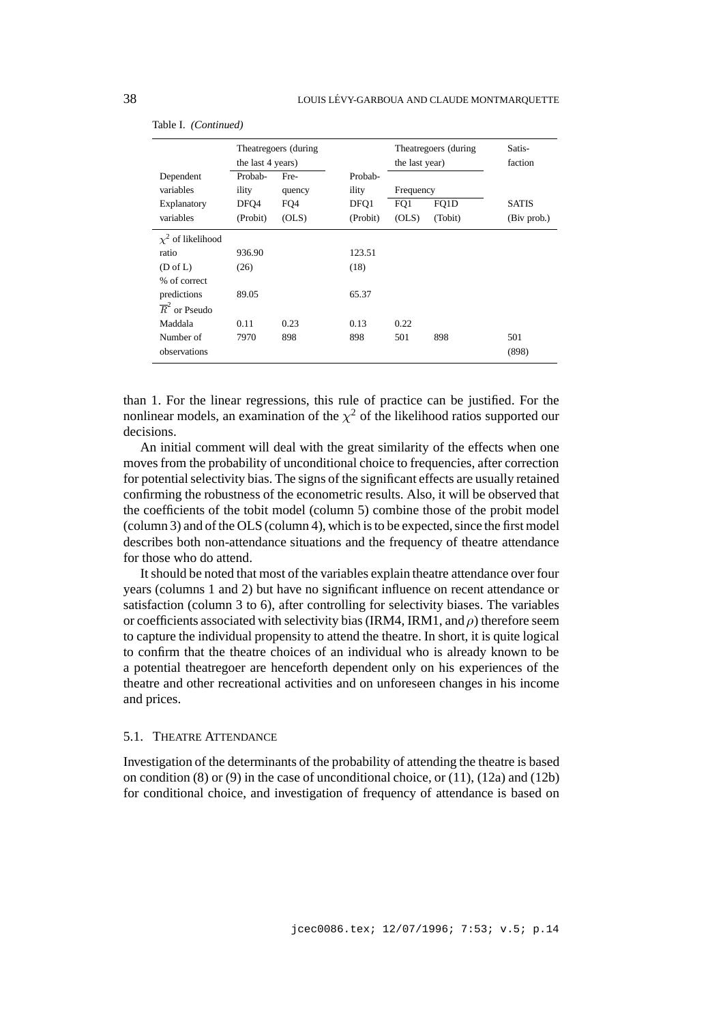|                                                                        | the last 4 years)                                | Theatregoers (during           |                                                  | the last year)            | Theatregoers (during) | Satis-<br>faction           |
|------------------------------------------------------------------------|--------------------------------------------------|--------------------------------|--------------------------------------------------|---------------------------|-----------------------|-----------------------------|
| Dependent<br>variables<br>Explanatory<br>variables                     | Probab-<br>ility<br>DFO <sub>4</sub><br>(Probit) | Fre-<br>quency<br>FQ4<br>(OLS) | Probab-<br>ility<br>DFO <sub>1</sub><br>(Probit) | Frequency<br>FQ1<br>(OLS) | FQ1D<br>(Tobit)       | <b>SATIS</b><br>(Biv prob.) |
| $\chi^2$ of likelihood<br>ratio<br>$(D \text{ of } L)$<br>% of correct | 936.90<br>(26)                                   |                                | 123.51<br>(18)                                   |                           |                       |                             |
| predictions<br>$\overline{R}^2$ or Pseudo                              | 89.05                                            |                                | 65.37                                            |                           |                       |                             |
| Maddala<br>Number of<br>observations                                   | 0.11<br>7970                                     | 0.23<br>898                    | 0.13<br>898                                      | 0.22<br>501               | 898                   | 501<br>(898)                |

Table I. *(Continued)*

than 1. For the linear regressions, this rule of practice can be justified. For the nonlinear models, an examination of the  $\chi^2$  of the likelihood ratios supported our decisions.

An initial comment will deal with the great similarity of the effects when one moves from the probability of unconditional choice to frequencies, after correction for potential selectivity bias. The signs of the significant effects are usually retained confirming the robustness of the econometric results. Also, it will be observed that the coefficients of the tobit model (column 5) combine those of the probit model (column 3) and of the OLS (column 4), which is to be expected, since the first model describes both non-attendance situations and the frequency of theatre attendance for those who do attend.

It should be noted that most of the variables explain theatre attendance over four years (columns 1 and 2) but have no significant influence on recent attendance or satisfaction (column 3 to 6), after controlling for selectivity biases. The variables or coefficients associated with selectivity bias (IRM4, IRM1, and  $\rho$ ) therefore seem to capture the individual propensity to attend the theatre. In short, it is quite logical to confirm that the theatre choices of an individual who is already known to be a potential theatregoer are henceforth dependent only on his experiences of the theatre and other recreational activities and on unforeseen changes in his income and prices.

## 5.1. THEATRE ATTENDANCE

Investigation of the determinants of the probability of attending the theatre is based on condition (8) or (9) in the case of unconditional choice, or (11), (12a) and (12b) for conditional choice, and investigation of frequency of attendance is based on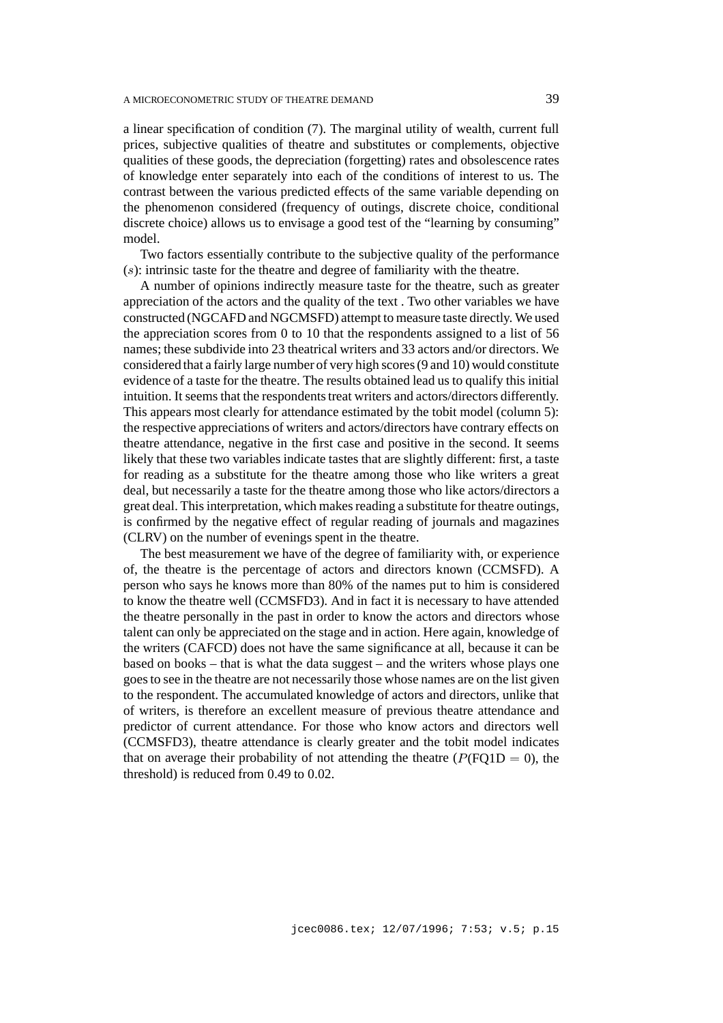# A MICROECONOMETRIC STUDY OF THEATRE DEMAND 39

a linear specification of condition (7). The marginal utility of wealth, current full prices, subjective qualities of theatre and substitutes or complements, objective qualities of these goods, the depreciation (forgetting) rates and obsolescence rates of knowledge enter separately into each of the conditions of interest to us. The contrast between the various predicted effects of the same variable depending on the phenomenon considered (frequency of outings, discrete choice, conditional discrete choice) allows us to envisage a good test of the "learning by consuming" model.

Two factors essentially contribute to the subjective quality of the performance (s): intrinsic taste for the theatre and degree of familiarity with the theatre.

A number of opinions indirectly measure taste for the theatre, such as greater appreciation of the actors and the quality of the text . Two other variables we have constructed (NGCAFD and NGCMSFD) attempt to measure taste directly. We used the appreciation scores from 0 to 10 that the respondents assigned to a list of 56 names; these subdivide into 23 theatrical writers and 33 actors and/or directors. We considered that a fairly large number of very high scores (9 and 10) would constitute evidence of a taste for the theatre. The results obtained lead us to qualify this initial intuition. It seems that the respondents treat writers and actors/directors differently. This appears most clearly for attendance estimated by the tobit model (column 5): the respective appreciations of writers and actors/directors have contrary effects on theatre attendance, negative in the first case and positive in the second. It seems likely that these two variables indicate tastes that are slightly different: first, a taste for reading as a substitute for the theatre among those who like writers a great deal, but necessarily a taste for the theatre among those who like actors/directors a great deal. This interpretation, which makes reading a substitute for theatre outings, is confirmed by the negative effect of regular reading of journals and magazines (CLRV) on the number of evenings spent in the theatre.

The best measurement we have of the degree of familiarity with, or experience of, the theatre is the percentage of actors and directors known (CCMSFD). A person who says he knows more than 80% of the names put to him is considered to know the theatre well (CCMSFD3). And in fact it is necessary to have attended the theatre personally in the past in order to know the actors and directors whose talent can only be appreciated on the stage and in action. Here again, knowledge of the writers (CAFCD) does not have the same significance at all, because it can be based on books – that is what the data suggest – and the writers whose plays one goes to see in the theatre are not necessarily those whose names are on the list given to the respondent. The accumulated knowledge of actors and directors, unlike that of writers, is therefore an excellent measure of previous theatre attendance and predictor of current attendance. For those who know actors and directors well (CCMSFD3), theatre attendance is clearly greater and the tobit model indicates that on average their probability of not attending the theatre ( $P$ (FQ1D = 0), the threshold) is reduced from 0.49 to 0.02.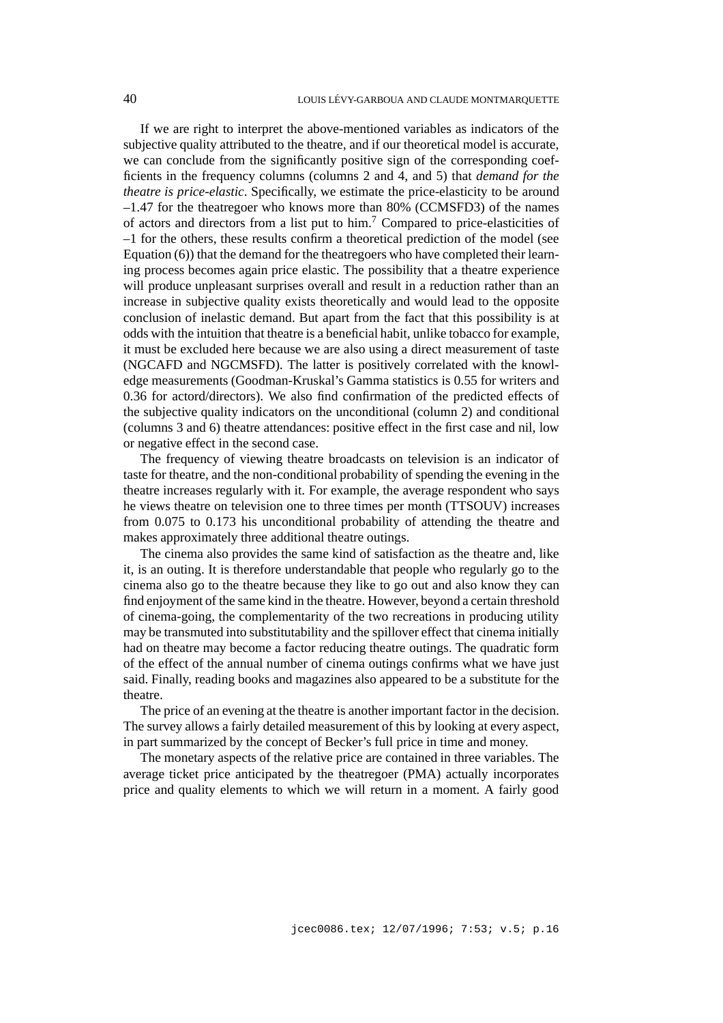If we are right to interpret the above-mentioned variables as indicators of the subjective quality attributed to the theatre, and if our theoretical model is accurate, we can conclude from the significantly positive sign of the corresponding coefficients in the frequency columns (columns 2 and 4, and 5) that *demand for the theatre is price-elastic*. Specifically, we estimate the price-elasticity to be around –1.47 for the theatregoer who knows more than 80% (CCMSFD3) of the names of actors and directors from a list put to him.7 Compared to price-elasticities of –1 for the others, these results confirm a theoretical prediction of the model (see Equation (6)) that the demand for the theatregoers who have completed their learning process becomes again price elastic. The possibility that a theatre experience will produce unpleasant surprises overall and result in a reduction rather than an increase in subjective quality exists theoretically and would lead to the opposite conclusion of inelastic demand. But apart from the fact that this possibility is at odds with the intuition that theatre is a beneficial habit, unlike tobacco for example, it must be excluded here because we are also using a direct measurement of taste (NGCAFD and NGCMSFD). The latter is positively correlated with the knowledge measurements (Goodman-Kruskal's Gamma statistics is 0.55 for writers and 0.36 for actord/directors). We also find confirmation of the predicted effects of the subjective quality indicators on the unconditional (column 2) and conditional (columns 3 and 6) theatre attendances: positive effect in the first case and nil, low or negative effect in the second case.

The frequency of viewing theatre broadcasts on television is an indicator of taste for theatre, and the non-conditional probability of spending the evening in the theatre increases regularly with it. For example, the average respondent who says he views theatre on television one to three times per month (TTSOUV) increases from 0.075 to 0.173 his unconditional probability of attending the theatre and makes approximately three additional theatre outings.

The cinema also provides the same kind of satisfaction as the theatre and, like it, is an outing. It is therefore understandable that people who regularly go to the cinema also go to the theatre because they like to go out and also know they can find enjoyment of the same kind in the theatre. However, beyond a certain threshold of cinema-going, the complementarity of the two recreations in producing utility may be transmuted into substitutability and the spillover effect that cinema initially had on theatre may become a factor reducing theatre outings. The quadratic form of the effect of the annual number of cinema outings confirms what we have just said. Finally, reading books and magazines also appeared to be a substitute for the theatre.

The price of an evening at the theatre is another important factor in the decision. The survey allows a fairly detailed measurement of this by looking at every aspect, in part summarized by the concept of Becker's full price in time and money.

The monetary aspects of the relative price are contained in three variables. The average ticket price anticipated by the theatregoer (PMA) actually incorporates price and quality elements to which we will return in a moment. A fairly good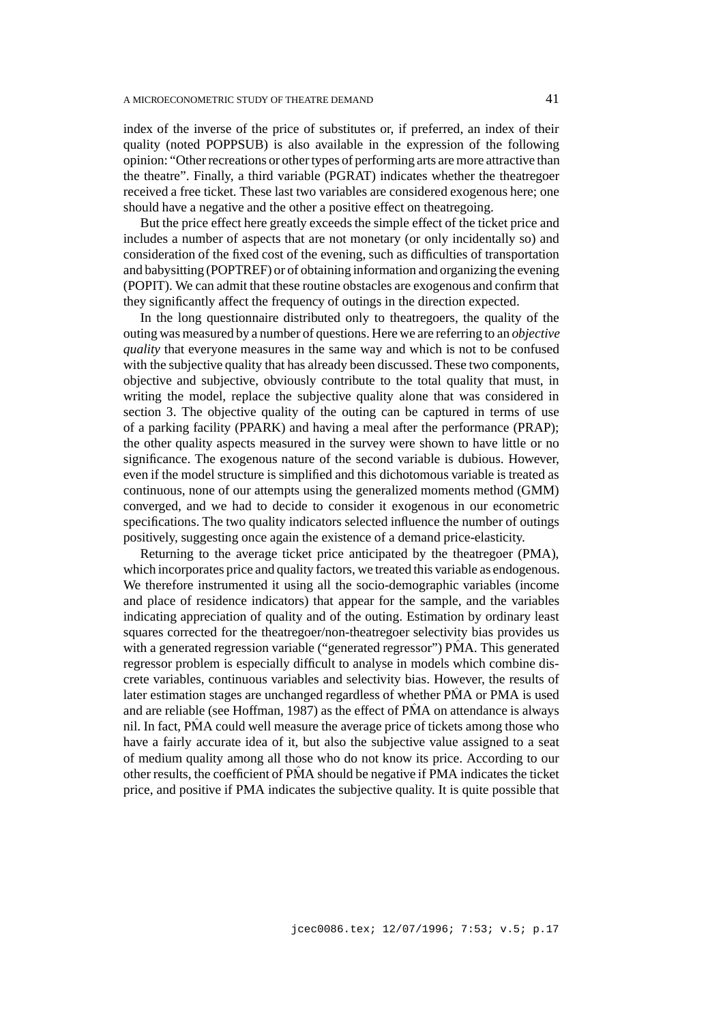index of the inverse of the price of substitutes or, if preferred, an index of their quality (noted POPPSUB) is also available in the expression of the following opinion: "Other recreations or other types of performing arts are more attractive than the theatre". Finally, a third variable (PGRAT) indicates whether the theatregoer received a free ticket. These last two variables are considered exogenous here; one should have a negative and the other a positive effect on theatregoing.

But the price effect here greatly exceeds the simple effect of the ticket price and includes a number of aspects that are not monetary (or only incidentally so) and consideration of the fixed cost of the evening, such as difficulties of transportation and babysitting (POPTREF) or of obtaining information and organizing the evening (POPIT). We can admit that these routine obstacles are exogenous and confirm that they significantly affect the frequency of outings in the direction expected.

In the long questionnaire distributed only to theatregoers, the quality of the outing was measured by a number of questions. Here we are referring to an *objective quality* that everyone measures in the same way and which is not to be confused with the subjective quality that has already been discussed. These two components, objective and subjective, obviously contribute to the total quality that must, in writing the model, replace the subjective quality alone that was considered in section 3. The objective quality of the outing can be captured in terms of use of a parking facility (PPARK) and having a meal after the performance (PRAP); the other quality aspects measured in the survey were shown to have little or no significance. The exogenous nature of the second variable is dubious. However, even if the model structure is simplified and this dichotomous variable is treated as continuous, none of our attempts using the generalized moments method (GMM) converged, and we had to decide to consider it exogenous in our econometric specifications. The two quality indicators selected influence the number of outings positively, suggesting once again the existence of a demand price-elasticity.

Returning to the average ticket price anticipated by the theatregoer (PMA), which incorporates price and quality factors, we treated this variable as endogenous. We therefore instrumented it using all the socio-demographic variables (income and place of residence indicators) that appear for the sample, and the variables indicating appreciation of quality and of the outing. Estimation by ordinary least squares corrected for the theatregoer/non-theatregoer selectivity bias provides us with a generated regression variable ("generated regressor")  $PMA$ . This generated regressor problem is especially difficult to analyse in models which combine discrete variables, continuous variables and selectivity bias. However, the results of later estimation stages are unchanged regardless of whether PMA or PMA is used ^ and are reliable (see Hoffman, 1987) as the effect of PMA on attendance is always ^ nil. In fact, PMA could well measure the average price of tickets among those who ^ have a fairly accurate idea of it, but also the subjective value assigned to a seat of medium quality among all those who do not know its price. According to our other results, the coefficient of PMA should be negative if PMA indicates the ticket ^ price, and positive if PMA indicates the subjective quality. It is quite possible that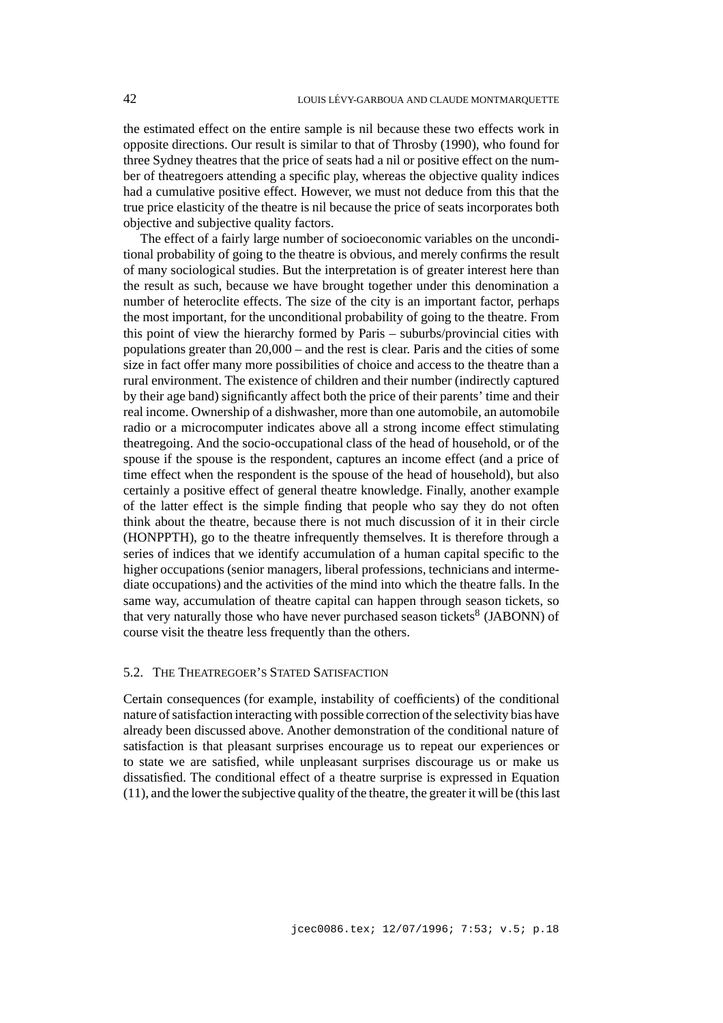the estimated effect on the entire sample is nil because these two effects work in opposite directions. Our result is similar to that of Throsby (1990), who found for three Sydney theatres that the price of seats had a nil or positive effect on the number of theatregoers attending a specific play, whereas the objective quality indices had a cumulative positive effect. However, we must not deduce from this that the true price elasticity of the theatre is nil because the price of seats incorporates both objective and subjective quality factors.

The effect of a fairly large number of socioeconomic variables on the unconditional probability of going to the theatre is obvious, and merely confirms the result of many sociological studies. But the interpretation is of greater interest here than the result as such, because we have brought together under this denomination a number of heteroclite effects. The size of the city is an important factor, perhaps the most important, for the unconditional probability of going to the theatre. From this point of view the hierarchy formed by Paris – suburbs/provincial cities with populations greater than 20,000 – and the rest is clear. Paris and the cities of some size in fact offer many more possibilities of choice and access to the theatre than a rural environment. The existence of children and their number (indirectly captured by their age band) significantly affect both the price of their parents' time and their real income. Ownership of a dishwasher, more than one automobile, an automobile radio or a microcomputer indicates above all a strong income effect stimulating theatregoing. And the socio-occupational class of the head of household, or of the spouse if the spouse is the respondent, captures an income effect (and a price of time effect when the respondent is the spouse of the head of household), but also certainly a positive effect of general theatre knowledge. Finally, another example of the latter effect is the simple finding that people who say they do not often think about the theatre, because there is not much discussion of it in their circle (HONPPTH), go to the theatre infrequently themselves. It is therefore through a series of indices that we identify accumulation of a human capital specific to the higher occupations (senior managers, liberal professions, technicians and intermediate occupations) and the activities of the mind into which the theatre falls. In the same way, accumulation of theatre capital can happen through season tickets, so that very naturally those who have never purchased season tickets<sup>8</sup> (JABONN) of course visit the theatre less frequently than the others.

# 5.2. THE THEATREGOER'S STATED SATISFACTION

Certain consequences (for example, instability of coefficients) of the conditional nature of satisfaction interacting with possible correction of the selectivity bias have already been discussed above. Another demonstration of the conditional nature of satisfaction is that pleasant surprises encourage us to repeat our experiences or to state we are satisfied, while unpleasant surprises discourage us or make us dissatisfied. The conditional effect of a theatre surprise is expressed in Equation (11), and the lower the subjective quality of the theatre, the greater it will be (this last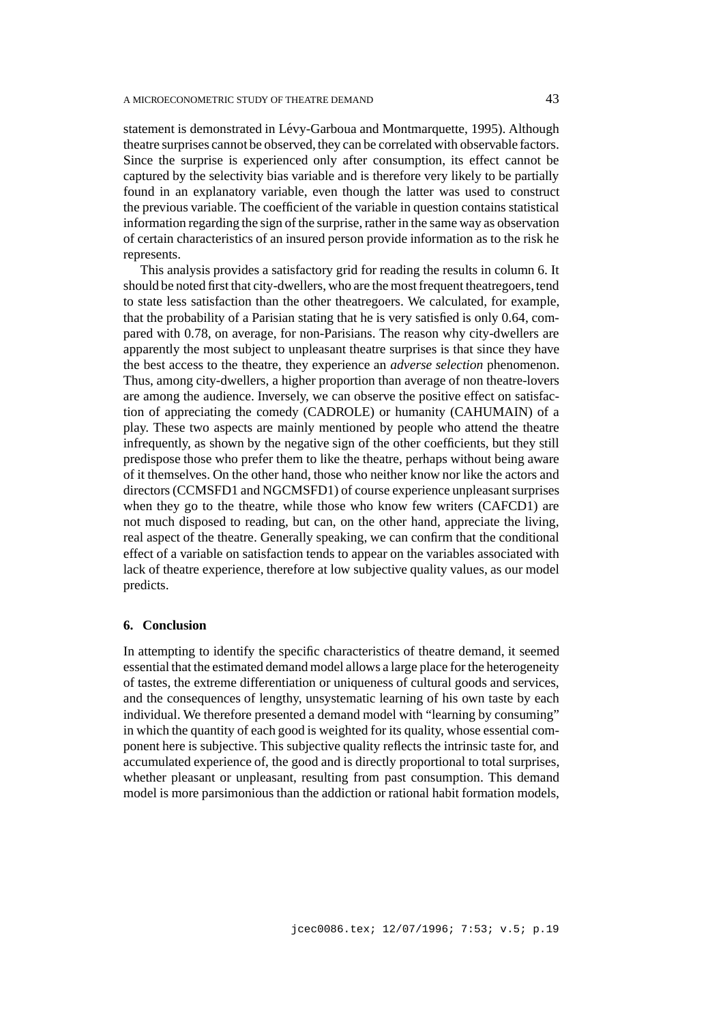statement is demonstrated in Lévy-Garboua and Montmarquette, 1995). Although theatre surprises cannot be observed, they can be correlated with observable factors. Since the surprise is experienced only after consumption, its effect cannot be captured by the selectivity bias variable and is therefore very likely to be partially found in an explanatory variable, even though the latter was used to construct the previous variable. The coefficient of the variable in question contains statistical information regarding the sign of the surprise, rather in the same way as observation of certain characteristics of an insured person provide information as to the risk he represents.

This analysis provides a satisfactory grid for reading the results in column 6. It should be noted first that city-dwellers, who are the most frequent theatregoers, tend to state less satisfaction than the other theatregoers. We calculated, for example, that the probability of a Parisian stating that he is very satisfied is only 0.64, compared with 0.78, on average, for non-Parisians. The reason why city-dwellers are apparently the most subject to unpleasant theatre surprises is that since they have the best access to the theatre, they experience an *adverse selection* phenomenon. Thus, among city-dwellers, a higher proportion than average of non theatre-lovers are among the audience. Inversely, we can observe the positive effect on satisfaction of appreciating the comedy (CADROLE) or humanity (CAHUMAIN) of a play. These two aspects are mainly mentioned by people who attend the theatre infrequently, as shown by the negative sign of the other coefficients, but they still predispose those who prefer them to like the theatre, perhaps without being aware of it themselves. On the other hand, those who neither know nor like the actors and directors (CCMSFD1 and NGCMSFD1) of course experience unpleasant surprises when they go to the theatre, while those who know few writers (CAFCD1) are not much disposed to reading, but can, on the other hand, appreciate the living, real aspect of the theatre. Generally speaking, we can confirm that the conditional effect of a variable on satisfaction tends to appear on the variables associated with lack of theatre experience, therefore at low subjective quality values, as our model predicts.

## **6. Conclusion**

In attempting to identify the specific characteristics of theatre demand, it seemed essential that the estimated demand model allows a large place for the heterogeneity of tastes, the extreme differentiation or uniqueness of cultural goods and services, and the consequences of lengthy, unsystematic learning of his own taste by each individual. We therefore presented a demand model with "learning by consuming" in which the quantity of each good is weighted for its quality, whose essential component here is subjective. This subjective quality reflects the intrinsic taste for, and accumulated experience of, the good and is directly proportional to total surprises, whether pleasant or unpleasant, resulting from past consumption. This demand model is more parsimonious than the addiction or rational habit formation models,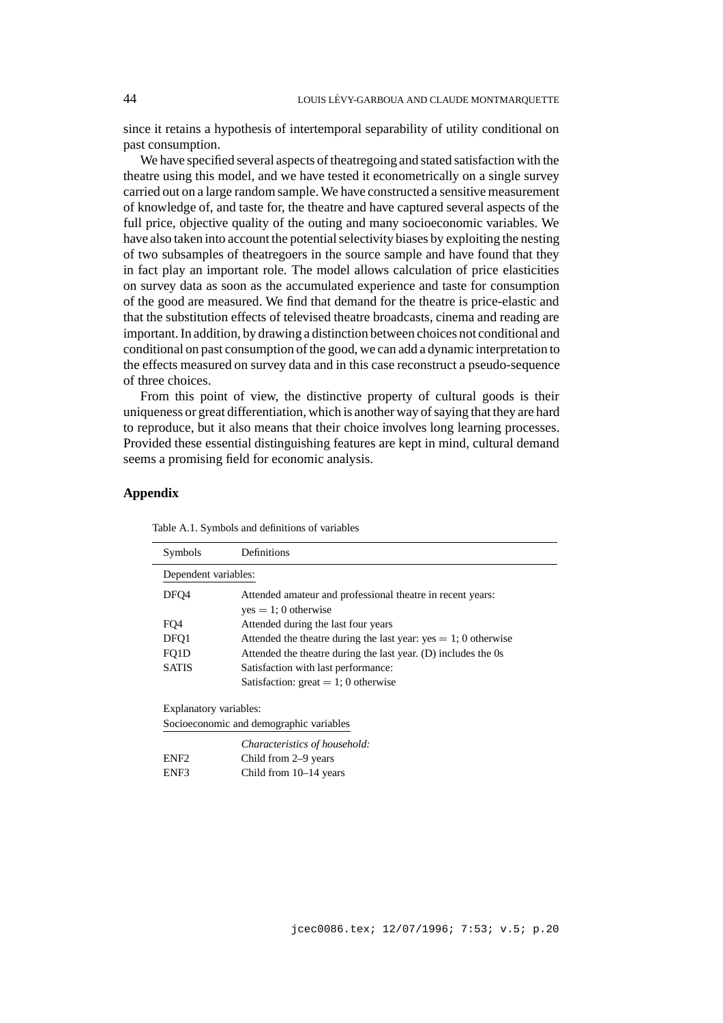since it retains a hypothesis of intertemporal separability of utility conditional on past consumption.

We have specified several aspects of theatregoing and stated satisfaction with the theatre using this model, and we have tested it econometrically on a single survey carried out on a large random sample. We have constructed a sensitive measurement of knowledge of, and taste for, the theatre and have captured several aspects of the full price, objective quality of the outing and many socioeconomic variables. We have also taken into account the potential selectivity biases by exploiting the nesting of two subsamples of theatregoers in the source sample and have found that they in fact play an important role. The model allows calculation of price elasticities on survey data as soon as the accumulated experience and taste for consumption of the good are measured. We find that demand for the theatre is price-elastic and that the substitution effects of televised theatre broadcasts, cinema and reading are important. In addition, by drawing a distinction between choices not conditional and conditional on past consumption of the good, we can add a dynamic interpretation to the effects measured on survey data and in this case reconstruct a pseudo-sequence of three choices.

From this point of view, the distinctive property of cultural goods is their uniqueness or great differentiation, which is another way of saying that they are hard to reproduce, but it also means that their choice involves long learning processes. Provided these essential distinguishing features are kept in mind, cultural demand seems a promising field for economic analysis.

# **Appendix**

| Symbols                | Definitions                                                                           |
|------------------------|---------------------------------------------------------------------------------------|
| Dependent variables:   |                                                                                       |
| DFO <sub>4</sub>       | Attended amateur and professional theatre in recent years:<br>$yes = 1$ ; 0 otherwise |
| FQ4                    | Attended during the last four years                                                   |
| DFQ1                   | Attended the theatre during the last year: $yes = 1$ ; 0 otherwise                    |
| FQ1D                   | Attended the theatre during the last year. (D) includes the 0s                        |
| <b>SATIS</b>           | Satisfaction with last performance:                                                   |
|                        | Satisfaction: $\text{great} = 1$ ; 0 otherwise                                        |
| Explanatory variables: |                                                                                       |

Table A.1. Symbols and definitions of variables

Socioeconomic and demographic variables

|                  | Characteristics of household: |
|------------------|-------------------------------|
| ENF <sub>2</sub> | Child from 2–9 years          |
| ENF3             | Child from 10–14 years        |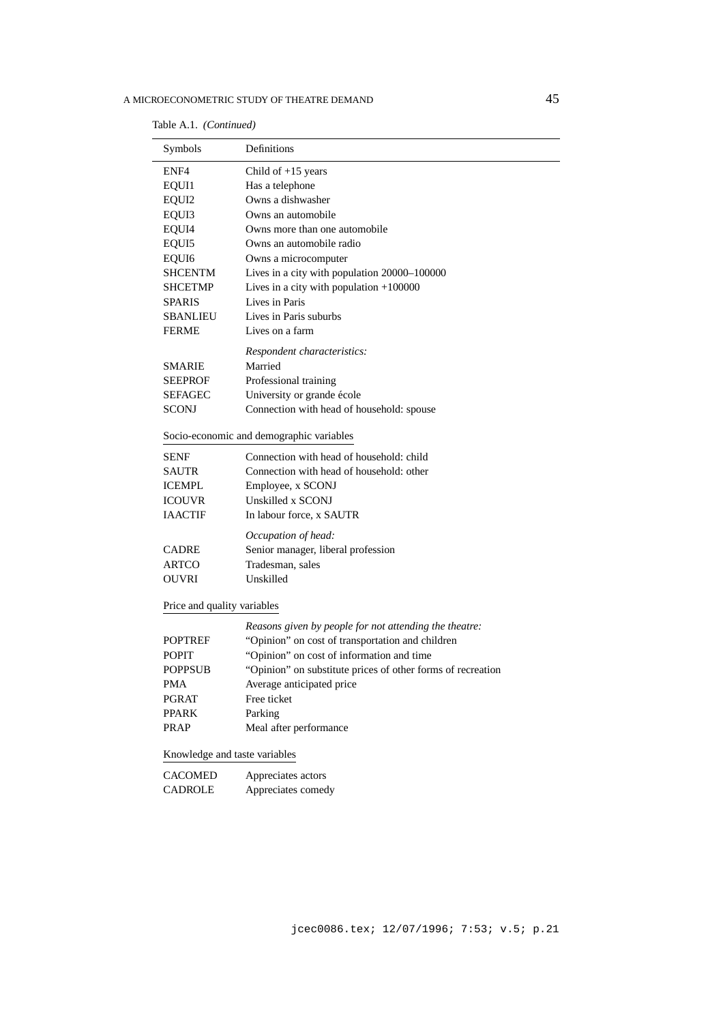Table A.1. *(Continued)*

 $\overline{\phantom{a}}$ 

| Symbols                              | Definitions                                                 |  |  |  |
|--------------------------------------|-------------------------------------------------------------|--|--|--|
| ENF <sub>4</sub>                     | Child of $+15$ years                                        |  |  |  |
| EQUI1                                | Has a telephone                                             |  |  |  |
| EQUI2                                | Owns a dishwasher                                           |  |  |  |
| EQUI3                                | Owns an automobile                                          |  |  |  |
| EQUI4                                | Owns more than one automobile                               |  |  |  |
| EQUI5                                | Owns an automobile radio                                    |  |  |  |
| EQUI6                                | Owns a microcomputer                                        |  |  |  |
| SHCENTM                              | Lives in a city with population 20000-100000                |  |  |  |
| <b>SHCETMP</b>                       | Lives in a city with population $+100000$                   |  |  |  |
| <b>SPARIS</b>                        | Lives in Paris                                              |  |  |  |
| SBANLIEU                             | Lives in Paris suburbs                                      |  |  |  |
| <b>FERME</b>                         | Lives on a farm                                             |  |  |  |
|                                      | Respondent characteristics:                                 |  |  |  |
| SMARIE                               | Married                                                     |  |  |  |
| <b>SEEPROF</b>                       | Professional training                                       |  |  |  |
| SEFAGEC                              | University or grande école                                  |  |  |  |
| SCONJ                                | Connection with head of household: spouse                   |  |  |  |
|                                      | Socio-economic and demographic variables                    |  |  |  |
| SENF                                 | Connection with head of household: child                    |  |  |  |
| SAUTR                                | Connection with head of household: other                    |  |  |  |
| <b>ICEMPL</b>                        | Employee, x SCONJ                                           |  |  |  |
| <b>ICOUVR</b>                        | Unskilled x SCONJ                                           |  |  |  |
| <b>IAACTIF</b>                       | In labour force, x SAUTR                                    |  |  |  |
|                                      | Occupation of head:                                         |  |  |  |
| CADRE                                | Senior manager, liberal profession                          |  |  |  |
| ARTCO                                | Tradesman, sales                                            |  |  |  |
| <b>OUVRI</b>                         | Unskilled                                                   |  |  |  |
| Price and quality variables          |                                                             |  |  |  |
|                                      | Reasons given by people for not attending the theatre:      |  |  |  |
| <b>POPTREF</b>                       | "Opinion" on cost of transportation and children            |  |  |  |
| <b>POPIT</b>                         | "Opinion" on cost of information and time                   |  |  |  |
| <b>POPPSUB</b>                       | "Opinion" on substitute prices of other forms of recreation |  |  |  |
| PMA                                  | Average anticipated price                                   |  |  |  |
| PGRAT                                | Free ticket                                                 |  |  |  |
| PPARK                                | Parking                                                     |  |  |  |
| PRAP                                 | Meal after performance                                      |  |  |  |
| Knowledge and taste variables        |                                                             |  |  |  |
| <b>CACOMED</b>                       | Appreciates actors                                          |  |  |  |
| Appreciates comedy<br><b>CADROLE</b> |                                                             |  |  |  |
|                                      |                                                             |  |  |  |

 $\overline{\phantom{0}}$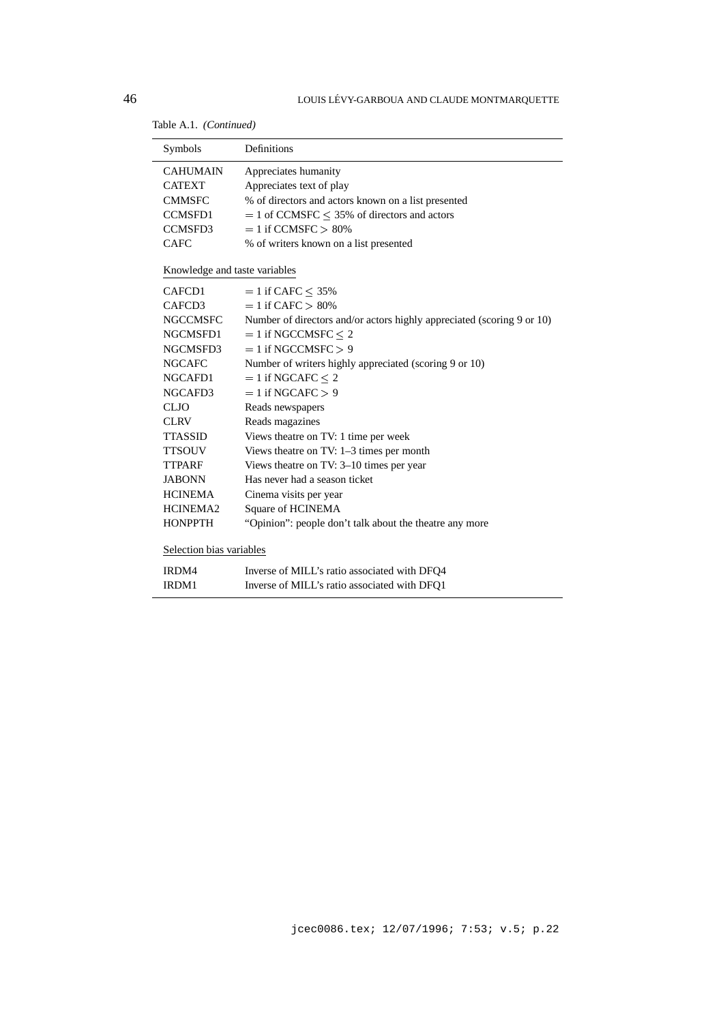| Symbols                       | Definitions                                                            |
|-------------------------------|------------------------------------------------------------------------|
| <b>CAHUMAIN</b>               | Appreciates humanity                                                   |
| <b>CATEXT</b>                 | Appreciates text of play                                               |
| <b>CMMSFC</b>                 | % of directors and actors known on a list presented                    |
| <b>CCMSFD1</b>                | $=$ 1 of CCMSFC $\leq$ 35% of directors and actors                     |
| <b>CCMSFD3</b>                | $= 1$ if CCMSFC $> 80\%$                                               |
| <b>CAFC</b>                   | % of writers known on a list presented                                 |
| Knowledge and taste variables |                                                                        |
| CAFCD <sub>1</sub>            | $= 1$ if CAFC $\leq 35\%$                                              |
| CAFCD3                        | $= 1$ if CAFC $> 80\%$                                                 |
| <b>NGCCMSFC</b>               | Number of directors and/or actors highly appreciated (scoring 9 or 10) |
| NGCMSFD1                      | $= 1$ if NGCCMSFC $\leq 2$                                             |
| NGCMSFD3                      | $= 1$ if NGCCMSFC $> 9$                                                |
| <b>NGCAFC</b>                 | Number of writers highly appreciated (scoring 9 or 10)                 |
| NGCAFD1                       | $= 1$ if NGCAFC $\leq 2$                                               |
| NGCAFD3                       | $= 1$ if NGCAFC $> 9$                                                  |
| <b>CLJO</b>                   | Reads newspapers                                                       |
| <b>CLRV</b>                   | Reads magazines                                                        |
| TTASSID                       | Views theatre on TV: 1 time per week                                   |
| TTSOUV                        | Views theatre on TV: 1-3 times per month                               |
| TTPARF                        | Views theatre on TV: 3-10 times per year                               |
| <b>JABONN</b>                 | Has never had a season ticket                                          |
| <b>HCINEMA</b>                | Cinema visits per year                                                 |
| HCINEMA2                      | Square of HCINEMA                                                      |
| <b>HONPPTH</b>                | "Opinion": people don't talk about the theatre any more                |
| Selection bias variables      |                                                                        |
| IRDM4                         | Inverse of MILL's ratio associated with DFQ4                           |
| IRDM1                         | Inverse of MILL's ratio associated with DFQ1                           |

Table A.1. *(Continued)*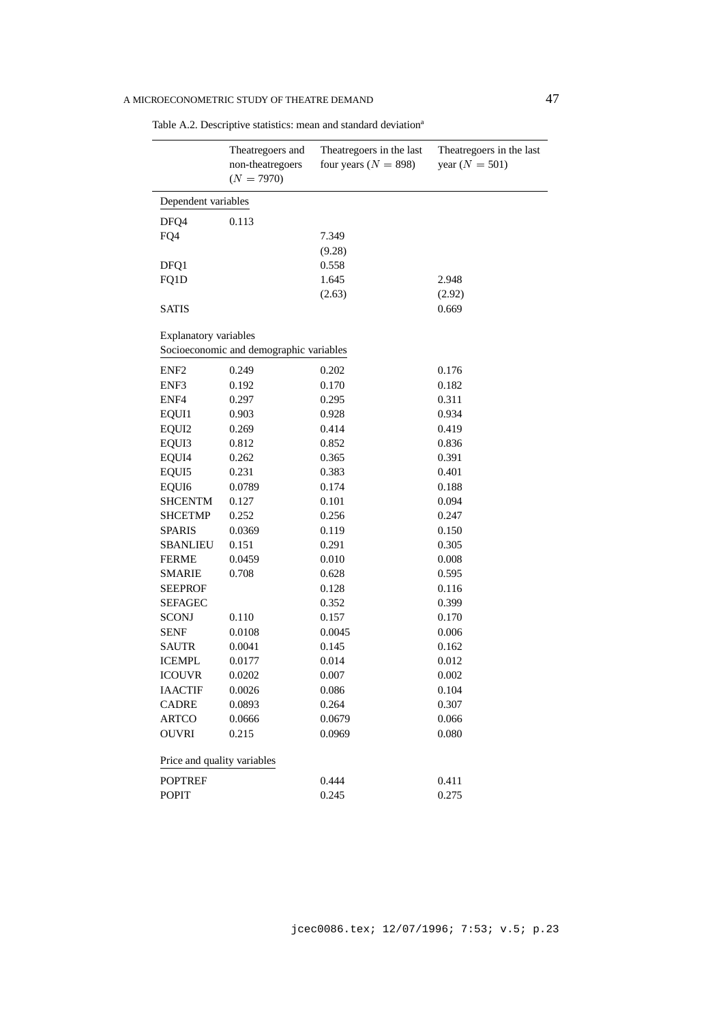# A MICROECONOMETRIC STUDY OF THEATRE DEMAND 47

|                              | Theatregoers and<br>non-theatregoers<br>$(N = 7970)$ | Theatregoers in the last<br>four years ( $N = 898$ ) | Theatregoers in the last<br>year $(N = 501)$ |
|------------------------------|------------------------------------------------------|------------------------------------------------------|----------------------------------------------|
| Dependent variables          |                                                      |                                                      |                                              |
| DFQ4                         | 0.113                                                |                                                      |                                              |
| FQ4                          |                                                      | 7.349                                                |                                              |
|                              |                                                      | (9.28)                                               |                                              |
| DFQ1                         |                                                      | 0.558                                                |                                              |
| FQ1D                         |                                                      | 1.645                                                | 2.948                                        |
|                              |                                                      | (2.63)                                               | (2.92)                                       |
| <b>SATIS</b>                 |                                                      |                                                      | 0.669                                        |
| <b>Explanatory variables</b> |                                                      |                                                      |                                              |
|                              | Socioeconomic and demographic variables              |                                                      |                                              |
| ENF <sub>2</sub>             | 0.249                                                | 0.202                                                | 0.176                                        |
| ENF3                         | 0.192                                                | 0.170                                                | 0.182                                        |
| ENF4                         | 0.297                                                | 0.295                                                | 0.311                                        |
| EQUI1                        | 0.903                                                | 0.928                                                | 0.934                                        |
| EQUI2                        | 0.269                                                | 0.414                                                | 0.419                                        |
| EQUI3                        | 0.812                                                | 0.852                                                | 0.836                                        |
| EQUI4                        | 0.262                                                | 0.365                                                | 0.391                                        |
| EQUI5                        | 0.231                                                | 0.383                                                | 0.401                                        |
| EQUI6                        | 0.0789                                               | 0.174                                                | 0.188                                        |
| <b>SHCENTM</b>               | 0.127                                                | 0.101                                                | 0.094                                        |
| <b>SHCETMP</b>               | 0.252                                                | 0.256                                                | 0.247                                        |
| <b>SPARIS</b>                | 0.0369                                               | 0.119                                                | 0.150                                        |
| <b>SBANLIEU</b>              | 0.151                                                | 0.291                                                | 0.305                                        |
| <b>FERME</b>                 | 0.0459                                               | 0.010                                                | 0.008                                        |
| <b>SMARIE</b>                | 0.708                                                | 0.628                                                | 0.595                                        |
| <b>SEEPROF</b>               |                                                      | 0.128                                                | 0.116                                        |
| <b>SEFAGEC</b>               |                                                      | 0.352                                                | 0.399                                        |
| <b>SCONJ</b>                 | 0.110                                                | 0.157                                                | 0.170                                        |
| <b>SENF</b>                  | 0.0108                                               | 0.0045                                               | 0.006                                        |
| <b>SAUTR</b>                 | 0.0041                                               | 0.145                                                | 0.162                                        |
| <b>ICEMPL</b>                | 0.0177                                               | 0.014                                                | 0.012                                        |
| <b>ICOUVR</b>                | 0.0202                                               | 0.007                                                | 0.002                                        |
| <b>IAACTIF</b>               | 0.0026                                               | 0.086                                                | 0.104                                        |
| <b>CADRE</b>                 | 0.0893                                               | 0.264                                                | 0.307                                        |
| <b>ARTCO</b>                 | 0.0666                                               | 0.0679                                               | 0.066                                        |
| <b>OUVRI</b>                 | 0.215                                                | 0.0969                                               | 0.080                                        |
| Price and quality variables  |                                                      |                                                      |                                              |
| <b>POPTREF</b>               |                                                      | 0.444                                                | 0.411                                        |
| <b>POPIT</b>                 |                                                      | 0.245                                                | 0.275                                        |

Table A.2. Descriptive statistics: mean and standard deviation<sup>a</sup>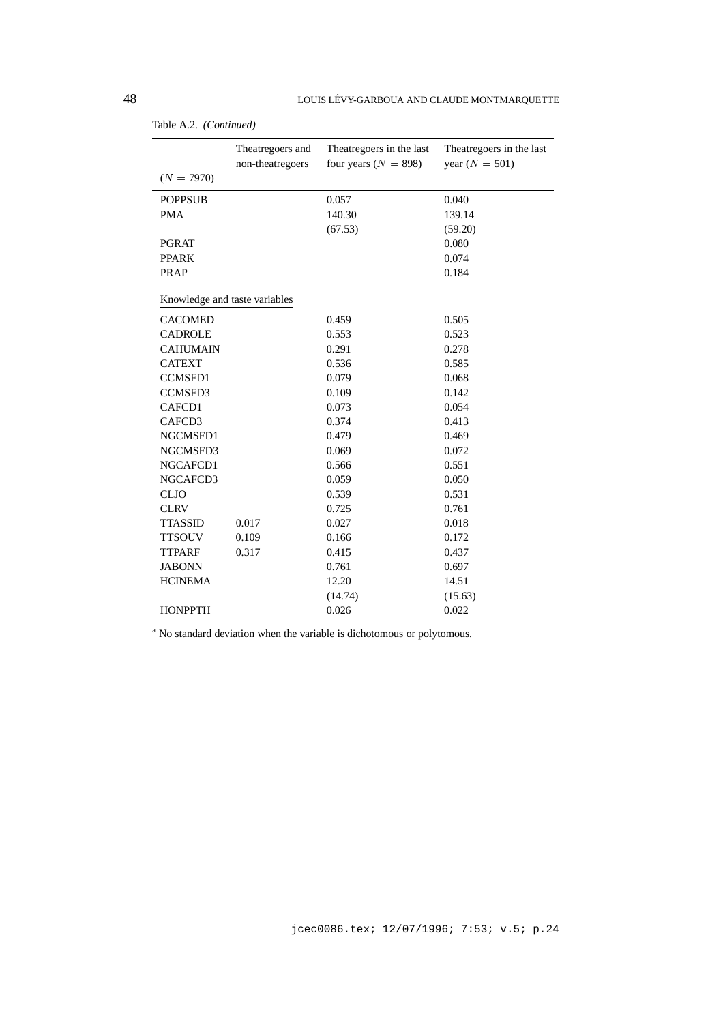|                 | Theatregoers and<br>non-theatregoers | Theatregoers in the last<br>four years ( $N = 898$ ) | Theatregoers in the last<br>year $(N = 501)$ |
|-----------------|--------------------------------------|------------------------------------------------------|----------------------------------------------|
| $(N = 7970)$    |                                      |                                                      |                                              |
| <b>POPPSUB</b>  |                                      | 0.057                                                | 0.040                                        |
| <b>PMA</b>      |                                      | 140.30                                               | 139.14                                       |
|                 |                                      | (67.53)                                              | (59.20)                                      |
| <b>PGRAT</b>    |                                      |                                                      | 0.080                                        |
| <b>PPARK</b>    |                                      |                                                      | 0.074                                        |
| <b>PRAP</b>     |                                      |                                                      | 0.184                                        |
|                 | Knowledge and taste variables        |                                                      |                                              |
| <b>CACOMED</b>  |                                      | 0.459                                                | 0.505                                        |
| <b>CADROLE</b>  |                                      | 0.553                                                | 0.523                                        |
| <b>CAHUMAIN</b> |                                      | 0.291                                                | 0.278                                        |
| <b>CATEXT</b>   |                                      | 0.536                                                | 0.585                                        |
| <b>CCMSFD1</b>  |                                      | 0.079                                                | 0.068                                        |
| <b>CCMSFD3</b>  |                                      | 0.109                                                | 0.142                                        |
| CAFCD1          |                                      | 0.073                                                | 0.054                                        |
| CAFCD3          |                                      | 0.374                                                | 0.413                                        |
| NGCMSFD1        |                                      | 0.479                                                | 0.469                                        |
| NGCMSFD3        |                                      | 0.069                                                | 0.072                                        |
| NGCAFCD1        |                                      | 0.566                                                | 0.551                                        |
| NGCAFCD3        |                                      | 0.059                                                | 0.050                                        |
| <b>CLJO</b>     |                                      | 0.539                                                | 0.531                                        |
| <b>CLRV</b>     |                                      | 0.725                                                | 0.761                                        |
| <b>TTASSID</b>  | 0.017                                | 0.027                                                | 0.018                                        |
| <b>TTSOUV</b>   | 0.109                                | 0.166                                                | 0.172                                        |
| <b>TTPARF</b>   | 0.317                                | 0.415                                                | 0.437                                        |
| <b>JABONN</b>   |                                      | 0.761                                                | 0.697                                        |
| <b>HCINEMA</b>  |                                      | 12.20                                                | 14.51                                        |
|                 |                                      | (14.74)                                              | (15.63)                                      |
| <b>HONPPTH</b>  |                                      | 0.026                                                | 0.022                                        |

|  | Table A.2. (Continued) |
|--|------------------------|
|--|------------------------|

<sup>a</sup> No standard deviation when the variable is dichotomous or polytomous.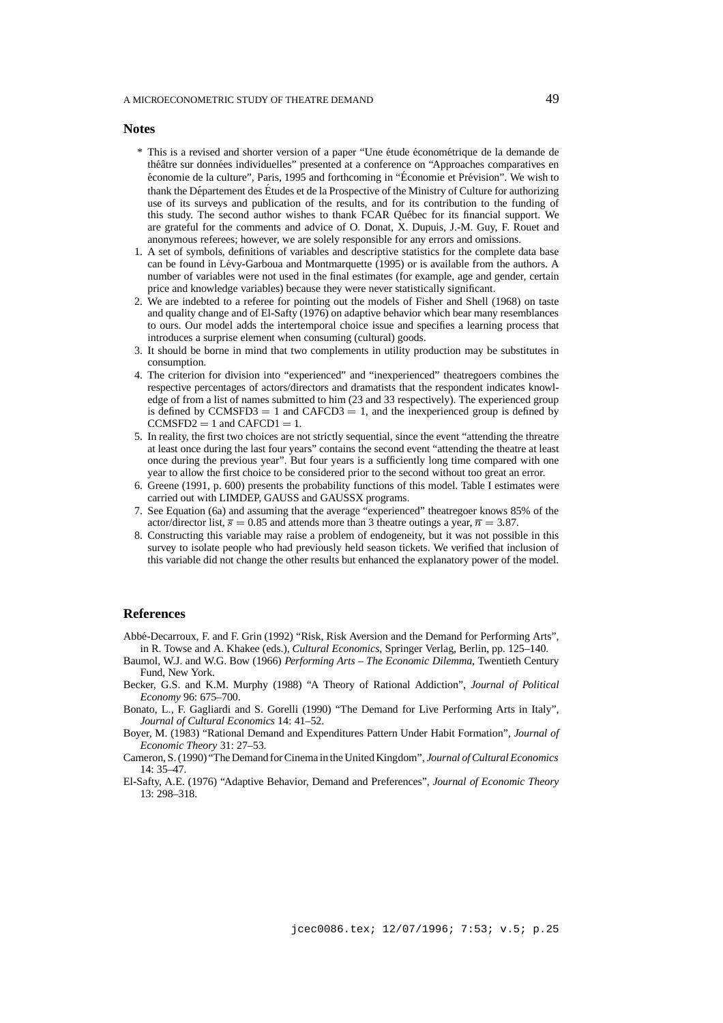#### **Notes**

- \* This is a revised and shorter version of a paper "Une étude économétrique de la demande de théâtre sur données individuelles" presented at a conference on "Approaches comparatives en économie de la culture", Paris, 1995 and forthcoming in "Économie et Prévision". We wish to thank the Département des Études et de la Prospective of the Ministry of Culture for authorizing use of its surveys and publication of the results, and for its contribution to the funding of this study. The second author wishes to thank FCAR Quebec for its financial support. We ´ are grateful for the comments and advice of O. Donat, X. Dupuis, J.-M. Guy, F. Rouet and anonymous referees; however, we are solely responsible for any errors and omissions.
- 1. A set of symbols, definitions of variables and descriptive statistics for the complete data base can be found in Levy-Garboua and Montmarquette (1995) or is available from the authors. A ´ number of variables were not used in the final estimates (for example, age and gender, certain price and knowledge variables) because they were never statistically significant.
- 2. We are indebted to a referee for pointing out the models of Fisher and Shell (1968) on taste and quality change and of El-Safty (1976) on adaptive behavior which bear many resemblances to ours. Our model adds the intertemporal choice issue and specifies a learning process that introduces a surprise element when consuming (cultural) goods.
- 3. It should be borne in mind that two complements in utility production may be substitutes in consumption.
- 4. The criterion for division into "experienced" and "inexperienced" theatregoers combines the respective percentages of actors/directors and dramatists that the respondent indicates knowledge of from a list of names submitted to him (23 and 33 respectively). The experienced group is defined by  $\text{CCMSED3} = 1$  and  $\text{CAFCD3} = 1$ , and the inexperienced group is defined by  $CCM$ SFD2 = 1 and  $C$ AFCD1 = 1.
- 5. In reality, the first two choices are not strictly sequential, since the event "attending the threatre at least once during the last four years" contains the second event "attending the theatre at least once during the previous year". But four years is a sufficiently long time compared with one year to allow the first choice to be considered prior to the second without too great an error.
- 6. Greene (1991, p. 600) presents the probability functions of this model. Table I estimates were carried out with LIMDEP, GAUSS and GAUSSX programs.
- 7. See Equation (6a) and assuming that the average "experienced" theatregoer knows 85% of the actor/director list,  $\overline{s} = 0.85$  and attends more than 3 theatre outings a year,  $\overline{n} = 3.87$ .
- 8. Constructing this variable may raise a problem of endogeneity, but it was not possible in this survey to isolate people who had previously held season tickets. We verified that inclusion of this variable did not change the other results but enhanced the explanatory power of the model.

#### **References**

- Abbe-Decarroux, F. and F. Grin (1992) "Risk, Risk Aversion and the Demand for Performing Arts", ´ in R. Towse and A. Khakee (eds.), *Cultural Economics*, Springer Verlag, Berlin, pp. 125–140.
- Baumol, W.J. and W.G. Bow (1966) *Performing Arts The Economic Dilemma*, Twentieth Century Fund, New York.
- Becker, G.S. and K.M. Murphy (1988) "A Theory of Rational Addiction", *Journal of Political Economy* 96: 675–700.
- Bonato, L., F. Gagliardi and S. Gorelli (1990) "The Demand for Live Performing Arts in Italy", *Journal of Cultural Economics* 14: 41–52.
- Boyer, M. (1983) "Rational Demand and Expenditures Pattern Under Habit Formation", *Journal of Economic Theory* 31: 27–53.
- Cameron, S. (1990) "The Demand for Cinema in the United Kingdom", *Journal of Cultural Economics* 14: 35–47.
- El-Safty, A.E. (1976) "Adaptive Behavior, Demand and Preferences", *Journal of Economic Theory* 13: 298–318.